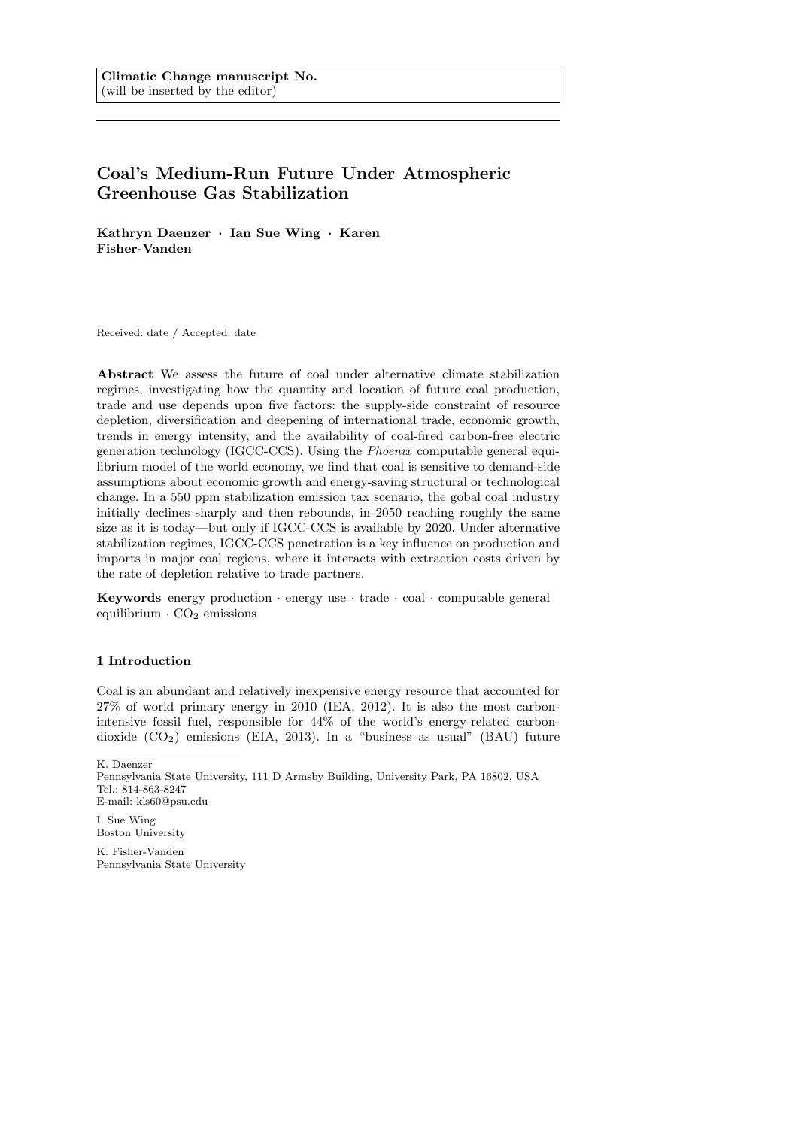# Coal's Medium-Run Future Under Atmospheric Greenhouse Gas Stabilization

Kathryn Daenzer · Ian Sue Wing · Karen Fisher-Vanden

Received: date / Accepted: date

Abstract We assess the future of coal under alternative climate stabilization regimes, investigating how the quantity and location of future coal production, trade and use depends upon five factors: the supply-side constraint of resource depletion, diversification and deepening of international trade, economic growth, trends in energy intensity, and the availability of coal-fired carbon-free electric generation technology (IGCC-CCS). Using the Phoenix computable general equilibrium model of the world economy, we find that coal is sensitive to demand-side assumptions about economic growth and energy-saving structural or technological change. In a 550 ppm stabilization emission tax scenario, the gobal coal industry initially declines sharply and then rebounds, in 2050 reaching roughly the same size as it is today—but only if IGCC-CCS is available by 2020. Under alternative stabilization regimes, IGCC-CCS penetration is a key influence on production and imports in major coal regions, where it interacts with extraction costs driven by the rate of depletion relative to trade partners.

Keywords energy production  $\cdot$  energy use  $\cdot$  trade  $\cdot$  coal  $\cdot$  computable general equilibrium  $\cdot$  CO<sub>2</sub> emissions

# 1 Introduction

Coal is an abundant and relatively inexpensive energy resource that accounted for 27% of world primary energy in 2010 (IEA, 2012). It is also the most carbonintensive fossil fuel, responsible for 44% of the world's energy-related carbondioxide (CO2) emissions (EIA, 2013). In a "business as usual" (BAU) future

I. Sue Wing Boston University

K. Fisher-Vanden Pennsylvania State University

K. Daenzer

Pennsylvania State University, 111 D Armsby Building, University Park, PA 16802, USA Tel.: 814-863-8247 E-mail: kls60@psu.edu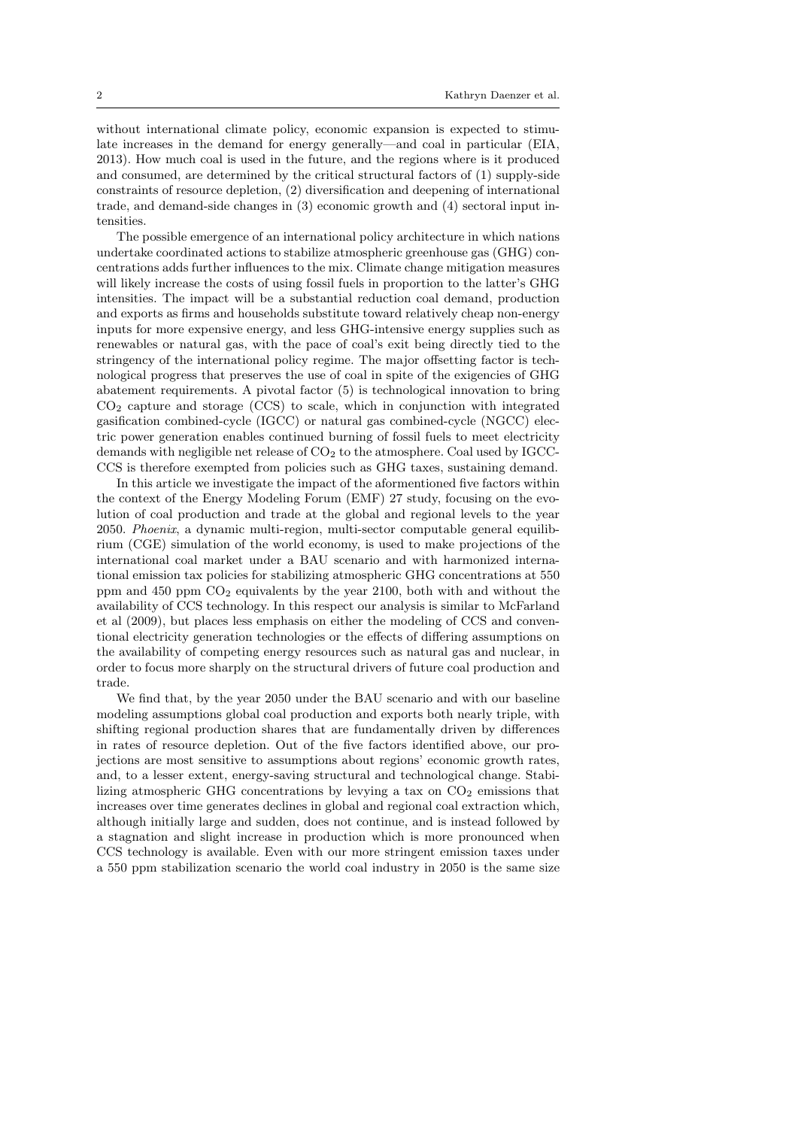without international climate policy, economic expansion is expected to stimulate increases in the demand for energy generally—and coal in particular (EIA, 2013). How much coal is used in the future, and the regions where is it produced and consumed, are determined by the critical structural factors of (1) supply-side constraints of resource depletion, (2) diversification and deepening of international trade, and demand-side changes in (3) economic growth and (4) sectoral input intensities.

The possible emergence of an international policy architecture in which nations undertake coordinated actions to stabilize atmospheric greenhouse gas (GHG) concentrations adds further influences to the mix. Climate change mitigation measures will likely increase the costs of using fossil fuels in proportion to the latter's GHG intensities. The impact will be a substantial reduction coal demand, production and exports as firms and households substitute toward relatively cheap non-energy inputs for more expensive energy, and less GHG-intensive energy supplies such as renewables or natural gas, with the pace of coal's exit being directly tied to the stringency of the international policy regime. The major offsetting factor is technological progress that preserves the use of coal in spite of the exigencies of GHG abatement requirements. A pivotal factor (5) is technological innovation to bring  $CO<sub>2</sub>$  capture and storage (CCS) to scale, which in conjunction with integrated gasification combined-cycle (IGCC) or natural gas combined-cycle (NGCC) electric power generation enables continued burning of fossil fuels to meet electricity demands with negligible net release of CO<sub>2</sub> to the atmosphere. Coal used by IGCC-CCS is therefore exempted from policies such as GHG taxes, sustaining demand.

In this article we investigate the impact of the aformentioned five factors within the context of the Energy Modeling Forum (EMF) 27 study, focusing on the evolution of coal production and trade at the global and regional levels to the year 2050. Phoenix, a dynamic multi-region, multi-sector computable general equilibrium (CGE) simulation of the world economy, is used to make projections of the international coal market under a BAU scenario and with harmonized international emission tax policies for stabilizing atmospheric GHG concentrations at 550 ppm and 450 ppm CO<sup>2</sup> equivalents by the year 2100, both with and without the availability of CCS technology. In this respect our analysis is similar to McFarland et al (2009), but places less emphasis on either the modeling of CCS and conventional electricity generation technologies or the effects of differing assumptions on the availability of competing energy resources such as natural gas and nuclear, in order to focus more sharply on the structural drivers of future coal production and trade.

We find that, by the year 2050 under the BAU scenario and with our baseline modeling assumptions global coal production and exports both nearly triple, with shifting regional production shares that are fundamentally driven by differences in rates of resource depletion. Out of the five factors identified above, our projections are most sensitive to assumptions about regions' economic growth rates, and, to a lesser extent, energy-saving structural and technological change. Stabilizing atmospheric GHG concentrations by levying a tax on  $CO<sub>2</sub>$  emissions that increases over time generates declines in global and regional coal extraction which, although initially large and sudden, does not continue, and is instead followed by a stagnation and slight increase in production which is more pronounced when CCS technology is available. Even with our more stringent emission taxes under a 550 ppm stabilization scenario the world coal industry in 2050 is the same size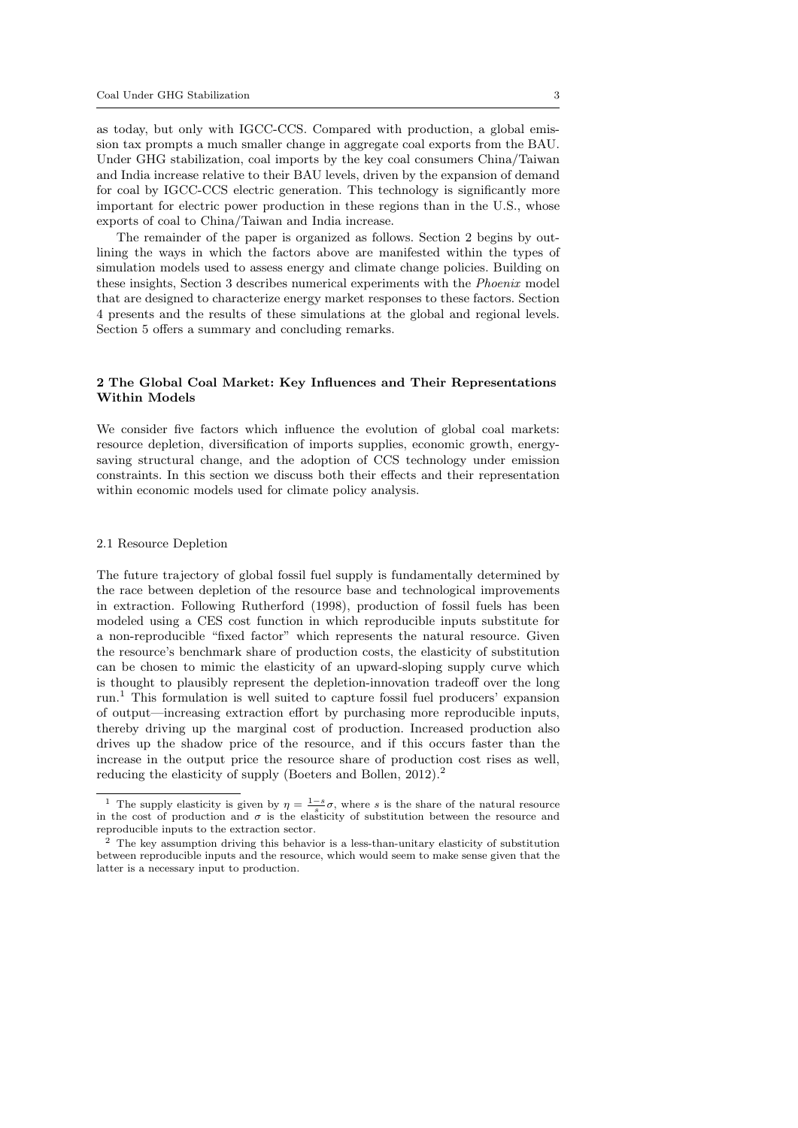as today, but only with IGCC-CCS. Compared with production, a global emission tax prompts a much smaller change in aggregate coal exports from the BAU. Under GHG stabilization, coal imports by the key coal consumers China/Taiwan and India increase relative to their BAU levels, driven by the expansion of demand for coal by IGCC-CCS electric generation. This technology is significantly more important for electric power production in these regions than in the U.S., whose exports of coal to China/Taiwan and India increase.

The remainder of the paper is organized as follows. Section 2 begins by outlining the ways in which the factors above are manifested within the types of simulation models used to assess energy and climate change policies. Building on these insights, Section 3 describes numerical experiments with the Phoenix model that are designed to characterize energy market responses to these factors. Section 4 presents and the results of these simulations at the global and regional levels. Section 5 offers a summary and concluding remarks.

# 2 The Global Coal Market: Key Influences and Their Representations Within Models

We consider five factors which influence the evolution of global coal markets: resource depletion, diversification of imports supplies, economic growth, energysaving structural change, and the adoption of CCS technology under emission constraints. In this section we discuss both their effects and their representation within economic models used for climate policy analysis.

#### 2.1 Resource Depletion

The future trajectory of global fossil fuel supply is fundamentally determined by the race between depletion of the resource base and technological improvements in extraction. Following Rutherford (1998), production of fossil fuels has been modeled using a CES cost function in which reproducible inputs substitute for a non-reproducible "fixed factor" which represents the natural resource. Given the resource's benchmark share of production costs, the elasticity of substitution can be chosen to mimic the elasticity of an upward-sloping supply curve which is thought to plausibly represent the depletion-innovation tradeoff over the long run.<sup>1</sup> This formulation is well suited to capture fossil fuel producers' expansion of output—increasing extraction effort by purchasing more reproducible inputs, thereby driving up the marginal cost of production. Increased production also drives up the shadow price of the resource, and if this occurs faster than the increase in the output price the resource share of production cost rises as well, reducing the elasticity of supply (Boeters and Bollen, 2012).<sup>2</sup>

<sup>&</sup>lt;sup>1</sup> The supply elasticity is given by  $\eta = \frac{1-s}{s}\sigma$ , where s is the share of the natural resource in the cost of production and  $\sigma$  is the elasticity of substitution between the resource and reproducible inputs to the extraction sector.

<sup>2</sup> The key assumption driving this behavior is a less-than-unitary elasticity of substitution between reproducible inputs and the resource, which would seem to make sense given that the latter is a necessary input to production.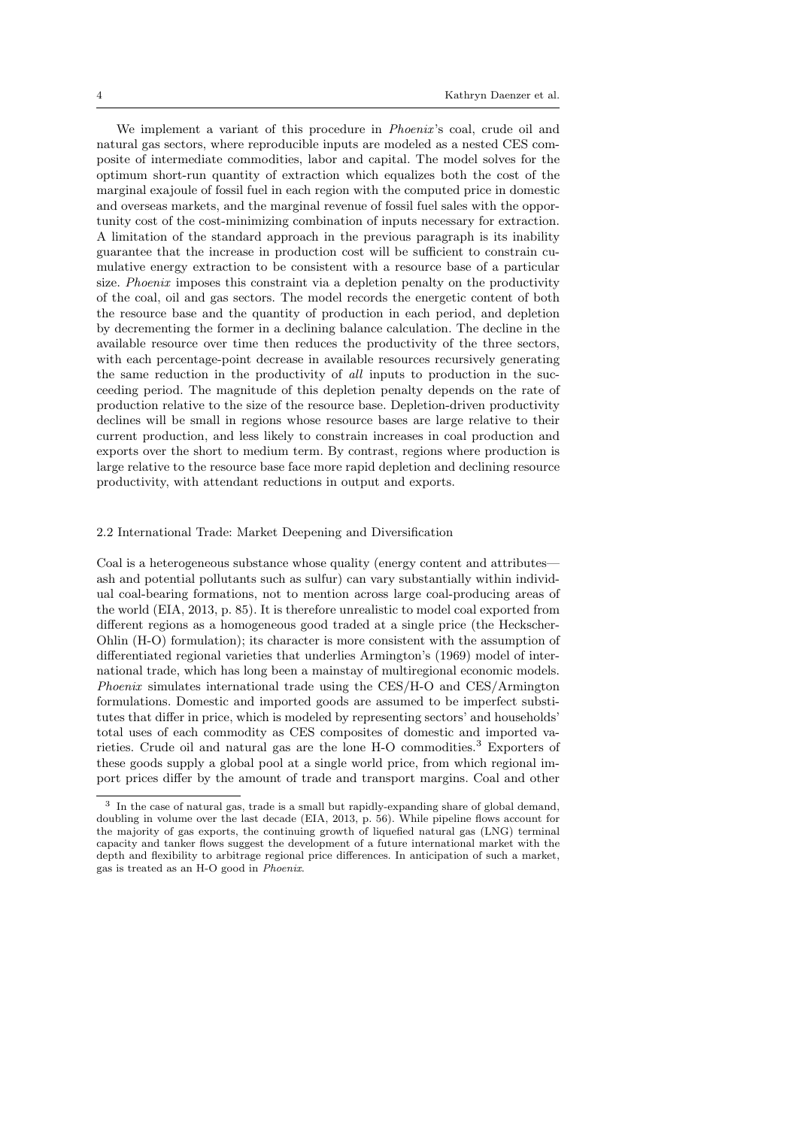We implement a variant of this procedure in *Phoenix's* coal, crude oil and natural gas sectors, where reproducible inputs are modeled as a nested CES composite of intermediate commodities, labor and capital. The model solves for the optimum short-run quantity of extraction which equalizes both the cost of the marginal exajoule of fossil fuel in each region with the computed price in domestic and overseas markets, and the marginal revenue of fossil fuel sales with the opportunity cost of the cost-minimizing combination of inputs necessary for extraction. A limitation of the standard approach in the previous paragraph is its inability guarantee that the increase in production cost will be sufficient to constrain cumulative energy extraction to be consistent with a resource base of a particular size. Phoenix imposes this constraint via a depletion penalty on the productivity of the coal, oil and gas sectors. The model records the energetic content of both the resource base and the quantity of production in each period, and depletion by decrementing the former in a declining balance calculation. The decline in the available resource over time then reduces the productivity of the three sectors, with each percentage-point decrease in available resources recursively generating the same reduction in the productivity of all inputs to production in the succeeding period. The magnitude of this depletion penalty depends on the rate of production relative to the size of the resource base. Depletion-driven productivity declines will be small in regions whose resource bases are large relative to their current production, and less likely to constrain increases in coal production and exports over the short to medium term. By contrast, regions where production is large relative to the resource base face more rapid depletion and declining resource productivity, with attendant reductions in output and exports.

#### 2.2 International Trade: Market Deepening and Diversification

Coal is a heterogeneous substance whose quality (energy content and attributes ash and potential pollutants such as sulfur) can vary substantially within individual coal-bearing formations, not to mention across large coal-producing areas of the world (EIA, 2013, p. 85). It is therefore unrealistic to model coal exported from different regions as a homogeneous good traded at a single price (the Heckscher-Ohlin (H-O) formulation); its character is more consistent with the assumption of differentiated regional varieties that underlies Armington's (1969) model of international trade, which has long been a mainstay of multiregional economic models. Phoenix simulates international trade using the CES/H-O and CES/Armington formulations. Domestic and imported goods are assumed to be imperfect substitutes that differ in price, which is modeled by representing sectors' and households' total uses of each commodity as CES composites of domestic and imported varieties. Crude oil and natural gas are the lone  $H-O$  commodities.<sup>3</sup> Exporters of these goods supply a global pool at a single world price, from which regional import prices differ by the amount of trade and transport margins. Coal and other

<sup>3</sup> In the case of natural gas, trade is a small but rapidly-expanding share of global demand, doubling in volume over the last decade (EIA, 2013, p. 56). While pipeline flows account for the majority of gas exports, the continuing growth of liquefied natural gas (LNG) terminal capacity and tanker flows suggest the development of a future international market with the depth and flexibility to arbitrage regional price differences. In anticipation of such a market, gas is treated as an H-O good in Phoenix.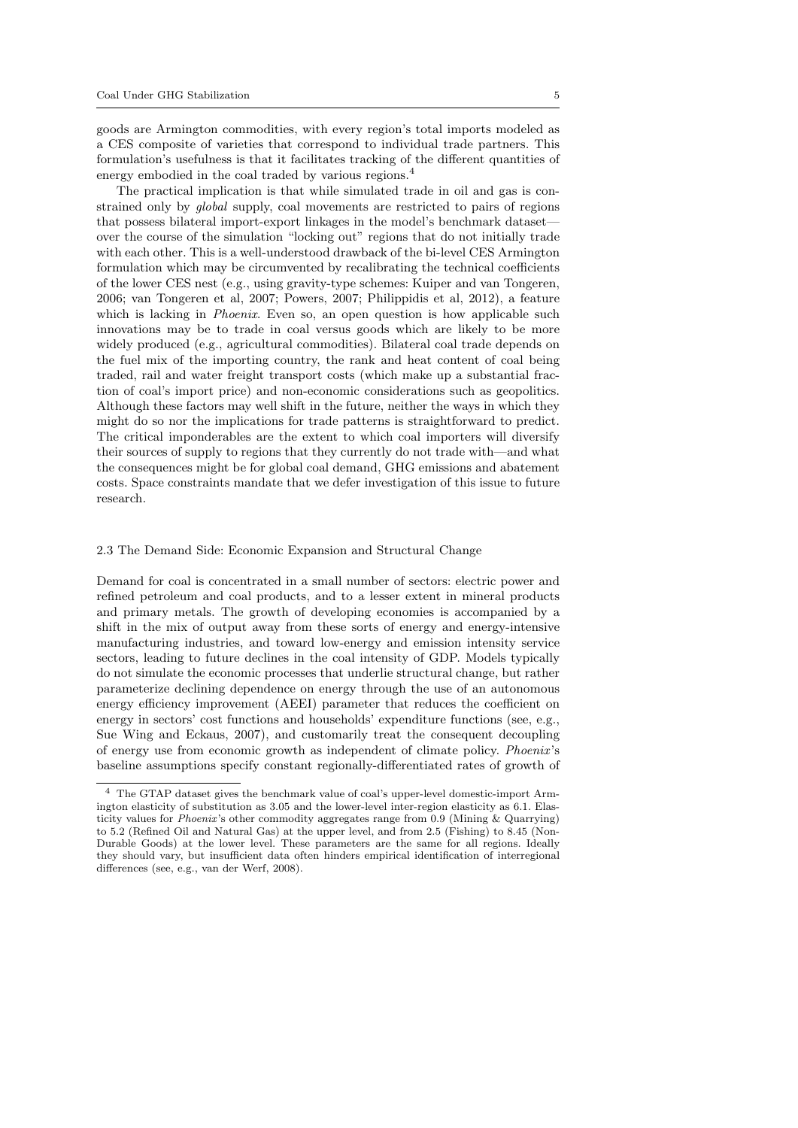goods are Armington commodities, with every region's total imports modeled as a CES composite of varieties that correspond to individual trade partners. This formulation's usefulness is that it facilitates tracking of the different quantities of energy embodied in the coal traded by various regions.<sup>4</sup>

The practical implication is that while simulated trade in oil and gas is constrained only by global supply, coal movements are restricted to pairs of regions that possess bilateral import-export linkages in the model's benchmark dataset over the course of the simulation "locking out" regions that do not initially trade with each other. This is a well-understood drawback of the bi-level CES Armington formulation which may be circumvented by recalibrating the technical coefficients of the lower CES nest (e.g., using gravity-type schemes: Kuiper and van Tongeren, 2006; van Tongeren et al, 2007; Powers, 2007; Philippidis et al, 2012), a feature which is lacking in *Phoenix*. Even so, an open question is how applicable such innovations may be to trade in coal versus goods which are likely to be more widely produced (e.g., agricultural commodities). Bilateral coal trade depends on the fuel mix of the importing country, the rank and heat content of coal being traded, rail and water freight transport costs (which make up a substantial fraction of coal's import price) and non-economic considerations such as geopolitics. Although these factors may well shift in the future, neither the ways in which they might do so nor the implications for trade patterns is straightforward to predict. The critical imponderables are the extent to which coal importers will diversify their sources of supply to regions that they currently do not trade with—and what the consequences might be for global coal demand, GHG emissions and abatement costs. Space constraints mandate that we defer investigation of this issue to future research.

## 2.3 The Demand Side: Economic Expansion and Structural Change

Demand for coal is concentrated in a small number of sectors: electric power and refined petroleum and coal products, and to a lesser extent in mineral products and primary metals. The growth of developing economies is accompanied by a shift in the mix of output away from these sorts of energy and energy-intensive manufacturing industries, and toward low-energy and emission intensity service sectors, leading to future declines in the coal intensity of GDP. Models typically do not simulate the economic processes that underlie structural change, but rather parameterize declining dependence on energy through the use of an autonomous energy efficiency improvement (AEEI) parameter that reduces the coefficient on energy in sectors' cost functions and households' expenditure functions (see, e.g., Sue Wing and Eckaus, 2007), and customarily treat the consequent decoupling of energy use from economic growth as independent of climate policy. Phoenix 's baseline assumptions specify constant regionally-differentiated rates of growth of

<sup>4</sup> The GTAP dataset gives the benchmark value of coal's upper-level domestic-import Armington elasticity of substitution as 3.05 and the lower-level inter-region elasticity as 6.1. Elasticity values for Phoenix 's other commodity aggregates range from 0.9 (Mining & Quarrying) to 5.2 (Refined Oil and Natural Gas) at the upper level, and from 2.5 (Fishing) to 8.45 (Non-Durable Goods) at the lower level. These parameters are the same for all regions. Ideally they should vary, but insufficient data often hinders empirical identification of interregional differences (see, e.g., van der Werf, 2008).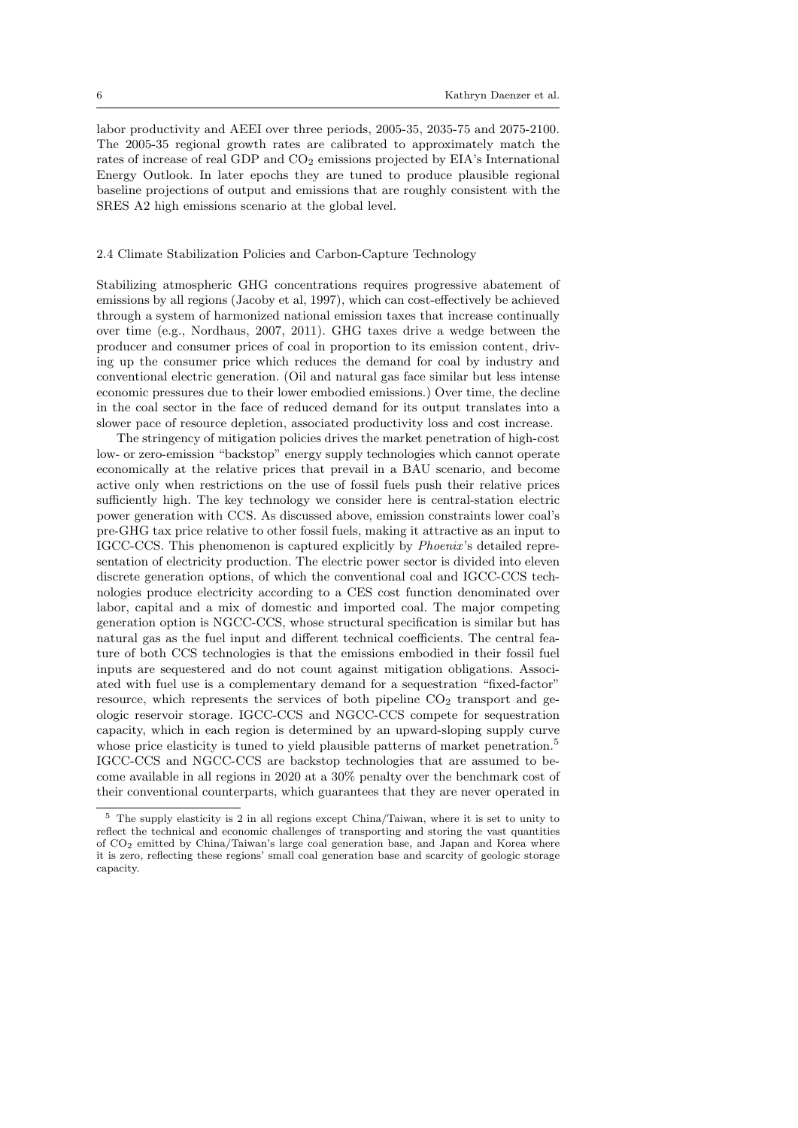labor productivity and AEEI over three periods, 2005-35, 2035-75 and 2075-2100. The 2005-35 regional growth rates are calibrated to approximately match the rates of increase of real GDP and  $CO<sub>2</sub>$  emissions projected by EIA's International Energy Outlook. In later epochs they are tuned to produce plausible regional baseline projections of output and emissions that are roughly consistent with the SRES A2 high emissions scenario at the global level.

# 2.4 Climate Stabilization Policies and Carbon-Capture Technology

Stabilizing atmospheric GHG concentrations requires progressive abatement of emissions by all regions (Jacoby et al, 1997), which can cost-effectively be achieved through a system of harmonized national emission taxes that increase continually over time (e.g., Nordhaus, 2007, 2011). GHG taxes drive a wedge between the producer and consumer prices of coal in proportion to its emission content, driving up the consumer price which reduces the demand for coal by industry and conventional electric generation. (Oil and natural gas face similar but less intense economic pressures due to their lower embodied emissions.) Over time, the decline in the coal sector in the face of reduced demand for its output translates into a slower pace of resource depletion, associated productivity loss and cost increase.

The stringency of mitigation policies drives the market penetration of high-cost low- or zero-emission "backstop" energy supply technologies which cannot operate economically at the relative prices that prevail in a BAU scenario, and become active only when restrictions on the use of fossil fuels push their relative prices sufficiently high. The key technology we consider here is central-station electric power generation with CCS. As discussed above, emission constraints lower coal's pre-GHG tax price relative to other fossil fuels, making it attractive as an input to IGCC-CCS. This phenomenon is captured explicitly by Phoenix 's detailed representation of electricity production. The electric power sector is divided into eleven discrete generation options, of which the conventional coal and IGCC-CCS technologies produce electricity according to a CES cost function denominated over labor, capital and a mix of domestic and imported coal. The major competing generation option is NGCC-CCS, whose structural specification is similar but has natural gas as the fuel input and different technical coefficients. The central feature of both CCS technologies is that the emissions embodied in their fossil fuel inputs are sequestered and do not count against mitigation obligations. Associated with fuel use is a complementary demand for a sequestration "fixed-factor" resource, which represents the services of both pipeline  $CO<sub>2</sub>$  transport and geologic reservoir storage. IGCC-CCS and NGCC-CCS compete for sequestration capacity, which in each region is determined by an upward-sloping supply curve whose price elasticity is tuned to yield plausible patterns of market penetration.<sup>5</sup> IGCC-CCS and NGCC-CCS are backstop technologies that are assumed to become available in all regions in 2020 at a 30% penalty over the benchmark cost of their conventional counterparts, which guarantees that they are never operated in

<sup>5</sup> The supply elasticity is 2 in all regions except China/Taiwan, where it is set to unity to reflect the technical and economic challenges of transporting and storing the vast quantities of CO<sup>2</sup> emitted by China/Taiwan's large coal generation base, and Japan and Korea where it is zero, reflecting these regions' small coal generation base and scarcity of geologic storage capacity.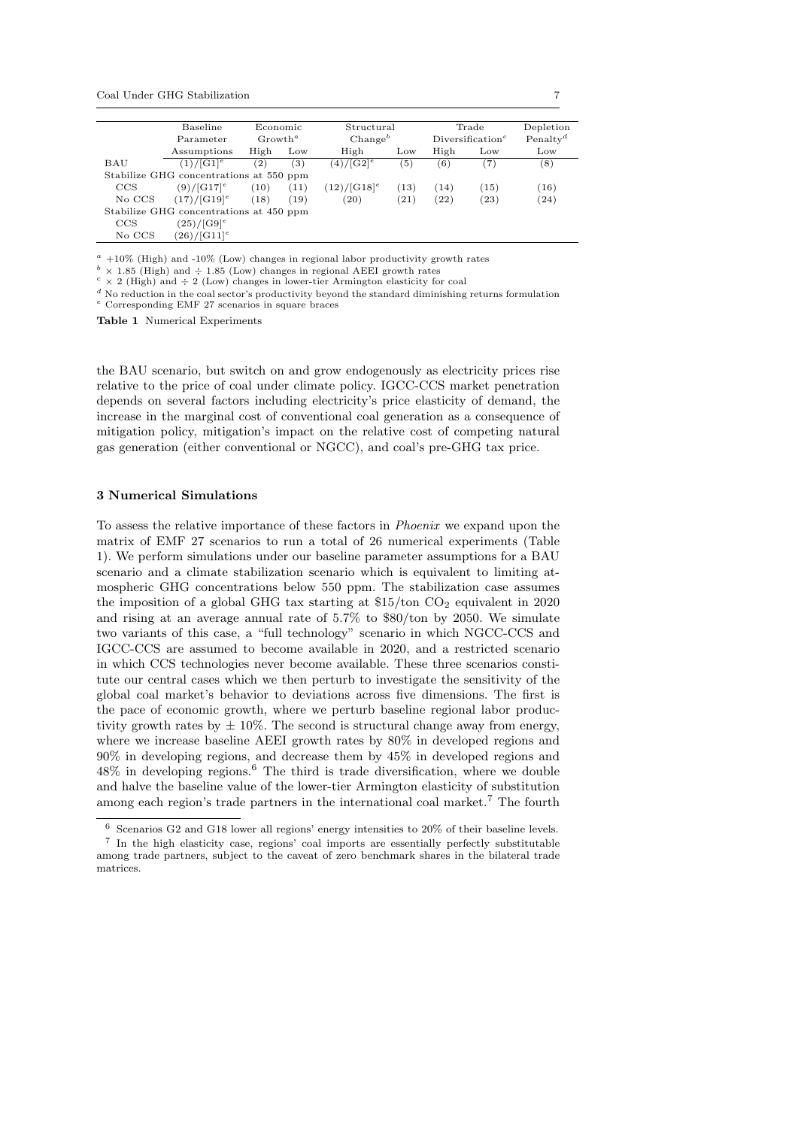|        | Baseline                                | Economic            |                  | Structural                |      |      | Trade                                     | Depletion            |
|--------|-----------------------------------------|---------------------|------------------|---------------------------|------|------|-------------------------------------------|----------------------|
|        | Parameter                               | Growth <sup>a</sup> |                  | Change <sup>b</sup>       |      |      | Diversification <sup><math>c</math></sup> | Penalty <sup>d</sup> |
|        | Assumptions                             | High                | Low              | High                      | Low  | High | Low                                       | Low                  |
| BAU    | $(1)/[G1]$ <sup>e</sup>                 | (2)                 | $\left(3\right)$ | $(4)/[G2]$ <sup>e</sup>   | (5)  | (6)  | (7)                                       | (8)                  |
|        | Stabilize GHG concentrations at 550 ppm |                     |                  |                           |      |      |                                           |                      |
| CCS    | $(9)/[G17]^{e}$                         | (10)                | (11)             | $(12)/[G18]$ <sup>e</sup> | (13) | (14) | (15)                                      | (16)                 |
| No CCS | $(17)/[G19]$ <sup>e</sup>               | (18)                | (19)             | (20)                      | (21) | (22) | (23)                                      | (24)                 |
|        | Stabilize GHG concentrations at 450 ppm |                     |                  |                           |      |      |                                           |                      |
| CCS    | $(25)/[G9]^{e}$                         |                     |                  |                           |      |      |                                           |                      |
| No CCS | $(26)/[G11]^{e}$                        |                     |                  |                           |      |      |                                           |                      |

 $a +10\%$  (High) and -10% (Low) changes in regional labor productivity growth rates

 $b \times 1.85$  (High) and  $\div 1.85$  (Low) changes in regional AEEI growth rates

 $c \times 2$  (High) and  $\div 2$  (Low) changes in lower-tier Armington elasticity for coal

 $d$  No reduction in the coal sector's productivity beyond the standard diminishing returns formulation <sup>e</sup> Corresponding EMF 27 scenarios in square braces

Table 1 Numerical Experiments

the BAU scenario, but switch on and grow endogenously as electricity prices rise relative to the price of coal under climate policy. IGCC-CCS market penetration depends on several factors including electricity's price elasticity of demand, the increase in the marginal cost of conventional coal generation as a consequence of mitigation policy, mitigation's impact on the relative cost of competing natural gas generation (either conventional or NGCC), and coal's pre-GHG tax price.

## 3 Numerical Simulations

To assess the relative importance of these factors in Phoenix we expand upon the matrix of EMF 27 scenarios to run a total of 26 numerical experiments (Table 1). We perform simulations under our baseline parameter assumptions for a BAU scenario and a climate stabilization scenario which is equivalent to limiting atmospheric GHG concentrations below 550 ppm. The stabilization case assumes the imposition of a global GHG tax starting at  $$15/t$ on CO<sub>2</sub> equivalent in 2020 and rising at an average annual rate of 5.7% to \$80/ton by 2050. We simulate two variants of this case, a "full technology" scenario in which NGCC-CCS and IGCC-CCS are assumed to become available in 2020, and a restricted scenario in which CCS technologies never become available. These three scenarios constitute our central cases which we then perturb to investigate the sensitivity of the global coal market's behavior to deviations across five dimensions. The first is the pace of economic growth, where we perturb baseline regional labor productivity growth rates by  $\pm 10\%$ . The second is structural change away from energy, where we increase baseline AEEI growth rates by 80% in developed regions and 90% in developing regions, and decrease them by 45% in developed regions and 48% in developing regions.<sup>6</sup> The third is trade diversification, where we double and halve the baseline value of the lower-tier Armington elasticity of substitution among each region's trade partners in the international coal market.<sup>7</sup> The fourth

 $^6\,$  Scenarios G2 and G18 lower all regions' energy intensities to 20% of their baseline levels. 7 In the high elasticity case, regions' coal imports are essentially perfectly substitutable among trade partners, subject to the caveat of zero benchmark shares in the bilateral trade matrices.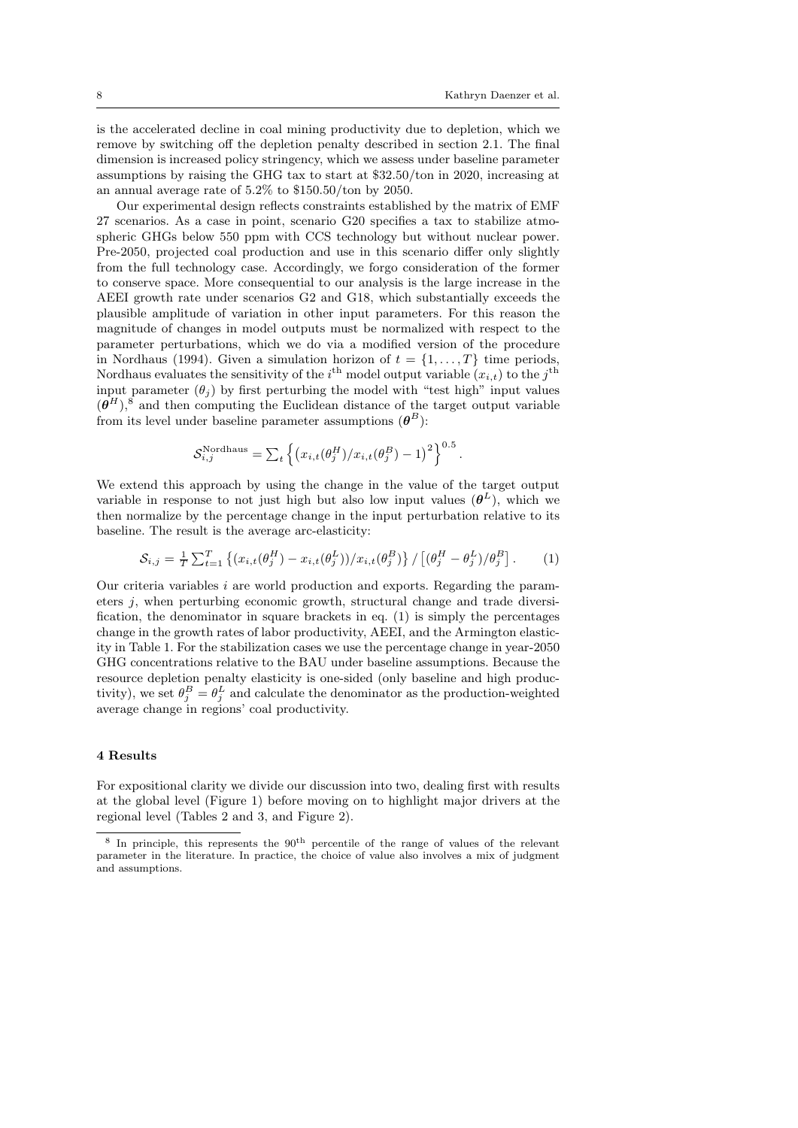.

is the accelerated decline in coal mining productivity due to depletion, which we remove by switching off the depletion penalty described in section 2.1. The final dimension is increased policy stringency, which we assess under baseline parameter assumptions by raising the GHG tax to start at \$32.50/ton in 2020, increasing at an annual average rate of 5.2% to \$150.50/ton by 2050.

Our experimental design reflects constraints established by the matrix of EMF 27 scenarios. As a case in point, scenario G20 specifies a tax to stabilize atmospheric GHGs below 550 ppm with CCS technology but without nuclear power. Pre-2050, projected coal production and use in this scenario differ only slightly from the full technology case. Accordingly, we forgo consideration of the former to conserve space. More consequential to our analysis is the large increase in the AEEI growth rate under scenarios G2 and G18, which substantially exceeds the plausible amplitude of variation in other input parameters. For this reason the magnitude of changes in model outputs must be normalized with respect to the parameter perturbations, which we do via a modified version of the procedure in Nordhaus (1994). Given a simulation horizon of  $t = \{1, \ldots, T\}$  time periods, Nordhaus evaluates the sensitivity of the *i*<sup>th</sup> model output variable  $(x_{i,t})$  to the *j*<sup>th</sup> input parameter  $(\theta_i)$  by first perturbing the model with "test high" input values  $(\boldsymbol{\theta}^H)$ ,<sup>8</sup> and then computing the Euclidean distance of the target output variable from its level under baseline parameter assumptions  $(\theta^B)$ :

$$
\mathcal{S}_{i,j}^{\text{Nordhaus}} = \sum_{t} \left\{ \left( x_{i,t}(\theta_j^H) / x_{i,t}(\theta_j^B) - 1 \right)^2 \right\}^{0.5}
$$

We extend this approach by using the change in the value of the target output variable in response to not just high but also low input values  $(\theta^L)$ , which we then normalize by the percentage change in the input perturbation relative to its baseline. The result is the average arc-elasticity:

$$
S_{i,j} = \frac{1}{T} \sum_{t=1}^{T} \left\{ (x_{i,t}(\theta_j^H) - x_{i,t}(\theta_j^L)) / x_{i,t}(\theta_j^B) \right\} / \left[ (\theta_j^H - \theta_j^L) / \theta_j^B \right].
$$
 (1)

Our criteria variables  $i$  are world production and exports. Regarding the parameters j, when perturbing economic growth, structural change and trade diversification, the denominator in square brackets in eq. (1) is simply the percentages change in the growth rates of labor productivity, AEEI, and the Armington elasticity in Table 1. For the stabilization cases we use the percentage change in year-2050 GHG concentrations relative to the BAU under baseline assumptions. Because the resource depletion penalty elasticity is one-sided (only baseline and high productivity), we set  $\theta_j^B = \theta_j^L$  and calculate the denominator as the production-weighted average change in regions' coal productivity.

# 4 Results

For expositional clarity we divide our discussion into two, dealing first with results at the global level (Figure 1) before moving on to highlight major drivers at the regional level (Tables 2 and 3, and Figure 2).

<sup>&</sup>lt;sup>8</sup> In principle, this represents the 90<sup>th</sup> percentile of the range of values of the relevant parameter in the literature. In practice, the choice of value also involves a mix of judgment and assumptions.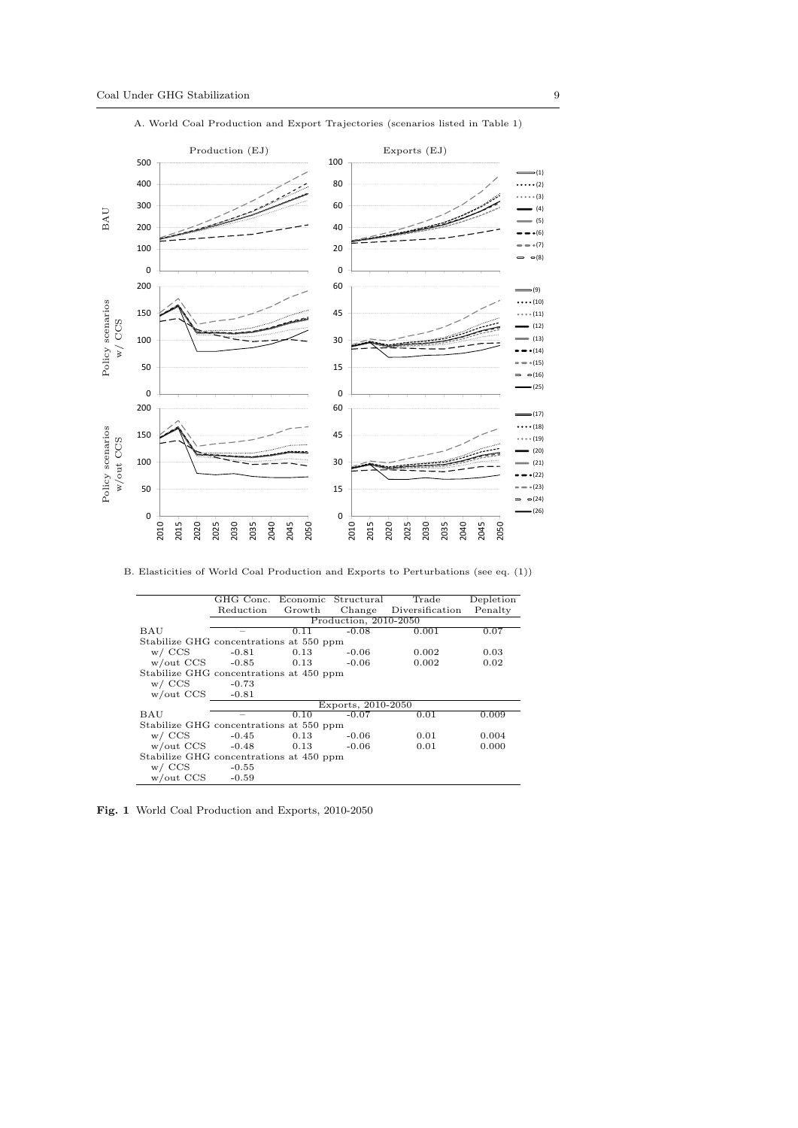

A. World Coal Production and Export Trajectories (scenarios listed in Table 1) 400

|                                         | GHG Conc. Economic Structural |        |                       | Trade                  | Depletion |
|-----------------------------------------|-------------------------------|--------|-----------------------|------------------------|-----------|
|                                         | Reduction                     | Growth |                       | Change Diversification | Penalty   |
|                                         |                               |        | Production, 2010-2050 |                        |           |
| BAU                                     |                               | 0.11   | $-0.08$               | 0.001                  | 0.07      |
| Stabilize GHG concentrations at 550 ppm |                               |        |                       |                        |           |
| $w / \text{CCS}$                        | -0.81                         | 0.13   | $-0.06$               | 0.002                  | 0.03      |
| $w/$ out CCS $-0.85$                    |                               | 0.13   | $-0.06$               | 0.002                  | 0.02      |
| Stabilize GHG concentrations at 450 ppm |                               |        |                       |                        |           |
| $w / \text{CCS}$                        | -0.73                         |        |                       |                        |           |
| $w/$ out CCS $-0.81$                    |                               |        |                       |                        |           |
|                                         |                               |        | Exports, 2010-2050    |                        |           |
| BAU                                     |                               | 0.10   | $-0.07$               | 0.01                   | 0.009     |
| Stabilize GHG concentrations at 550 ppm |                               |        |                       |                        |           |
| $w / \text{CCS}$                        | -0.45                         | 0.13   | $-0.06$               | 0.01                   | 0.004     |
| $w/$ out CCS $-0.48$                    |                               | 0.13   | $-0.06$               | 0.01                   | 0.000     |
| Stabilize GHG concentrations at 450 ppm |                               |        |                       |                        |           |
| $w / \text{CCS}$ -0.55                  |                               |        |                       |                        |           |
| w/out CCS                               | $-0.59$                       |        |                       |                        |           |

Fig. 1 World Coal Production and Exports, 2010-2050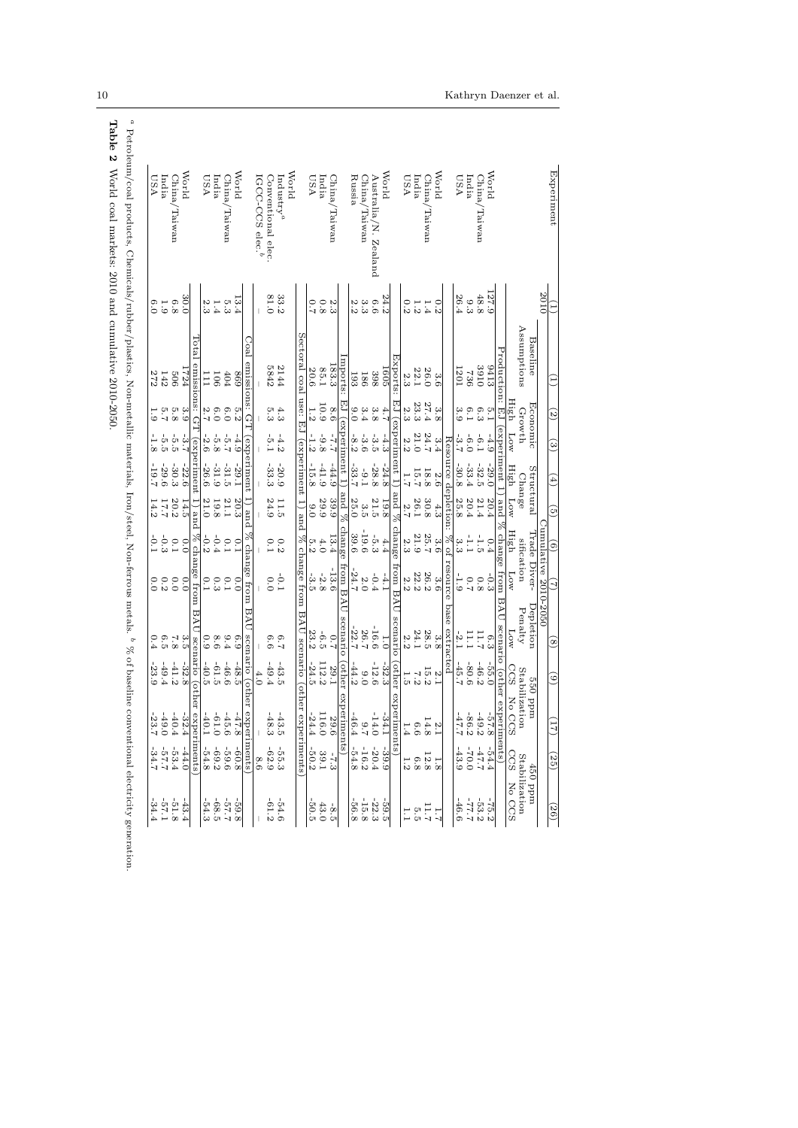|                                                           | 2010                                             |                        |                    |          |                     |                     |                    |                                |                                           |                                                          |                             |                                                                                                              |
|-----------------------------------------------------------|--------------------------------------------------|------------------------|--------------------|----------|---------------------|---------------------|--------------------|--------------------------------|-------------------------------------------|----------------------------------------------------------|-----------------------------|--------------------------------------------------------------------------------------------------------------|
|                                                           |                                                  | Baseline               |                    | Economic |                     | Structural          | Trade              | Jumulative 2010-2050<br>Diver- | Depletion                                 |                                                          | mqq 055                     | 450 ppm                                                                                                      |
|                                                           |                                                  | Assumptions            |                    | Growth   |                     | Change              |                    | sification                     | Penalty                                   |                                                          | Stabilization               |                                                                                                              |
|                                                           |                                                  |                        | High               | MOT      | High                | MOT                 | High               | <b>MOT</b>                     | MOT                                       | CCS                                                      | No CC<br>S                  | $\begin{tabular}{ll} \bf Stabilization \\ \bf CGS & No & \bf CCS \\ \bf CGS & No & \bf CCS \\ \end{tabular}$ |
|                                                           |                                                  | Production: EJ         |                    |          | experiment 1        | pue                 | change             | mon                            | BAU<br>scenario                           | (other                                                   | experi                      | iments)                                                                                                      |
| <b>World</b>                                              | 127.9                                            | 8413                   | $\frac{1}{2}$      | $-4.9$   | $-29.0$             | 20.4                | 0.4                | $\frac{1}{3}$                  | e.3                                       | $-55.0$                                                  | $-57.$<br>$\infty$          | $-54.4$                                                                                                      |
| China,<br>/Taiwan                                         | 48.8                                             | 3910                   | $6.3$              | $-6.1$   | $-32.5$             | 21.4                | $\frac{1}{10}$     | $0.8\,$                        | 11.7                                      | $-46.2$                                                  | $-49.$<br>Z                 | $2.25 -$                                                                                                     |
|                                                           |                                                  | 736                    | 6.1                | $-6.0$   | $-33.4$             | 20.4                | Ė                  |                                | Ē                                         | $-80.6$                                                  | $-86.$                      | $-70.0$                                                                                                      |
| India<br>USA                                              | $\frac{9.3}{26.4}$                               | [20]                   | 3.9                | -3.7     | $-30.8$             | 25.8                | دن<br>م            | $-1.9$                         | $-2$ .                                    | $-45.7$                                                  | $-47$<br>-110               | -43.9                                                                                                        |
|                                                           |                                                  |                        |                    |          |                     | Resource depletion: | $\frac{30}{26}$    | esource                        | base<br>extracted                         |                                                          |                             |                                                                                                              |
| World                                                     | 0.2                                              | 3.6                    |                    | 3.4      | 2.6                 | 4.3                 |                    | 3.6                            | 3.8                                       |                                                          |                             |                                                                                                              |
| China<br>Taiwan                                           | 1.4                                              | 26.0                   | $\frac{3.8}{27.4}$ | 24.7     | 18.8                | 30.8                | $\frac{3.6}{25.7}$ | 26.2                           | 28.5                                      |                                                          | $\frac{2}{14}$              | $\frac{1.8}{2.8}$                                                                                            |
|                                                           | $1.2\,$                                          | 22.1                   | 23.3               | 21.0     | 15.7                | 26.1                | $21.9\,$           | $22.2\,$                       | 24.1                                      |                                                          | $\rm \odot$<br>ာထ           | $6.8\,$                                                                                                      |
| $\begin{array}{c} \text{In this}\\ \text{USA}\end{array}$ | 0.2                                              | 2.3                    | 2.3                | 2.2      |                     | 2.7                 | 2.3                | 2.2                            | 2.2                                       | $\begin{array}{c} 25 \\ 15 \\ 23 \\ 34 \\ 5 \end{array}$ | H.<br>4                     | 1.2                                                                                                          |
|                                                           |                                                  | Hxports:               |                    |          | experiment 1        | $%$ pue             | change             | from BAU                       | scenario                                  | other                                                    | experim<br>ents             |                                                                                                              |
| World                                                     |                                                  | 1605                   | $\ddot{f}$         | $-4.3$   | $-24.8$             | 19.8                |                    | $-4.1$                         | $\overline{1.0}$                          | $-32.3$                                                  | $-34.$<br>Η                 | $-39.9$                                                                                                      |
| Australia/N. Zealand                                      |                                                  | 398                    | $3.8\,$            | $-3.5$   | $-28.8$             | 21.5                | $\frac{4}{5}$ , 43 | $-0.4$                         | $-16.6$                                   | $-12.6$                                                  | $-14.1$<br>$\circ$          | $-20.4$                                                                                                      |
| China/Taiwan                                              |                                                  | 186                    | $3.4\,$            | $-3.6$   | $-9.1$              | 3.5                 | $-19.6$            | $2.0\,$                        |                                           | 0.0                                                      | ₹                           | $-16.2$                                                                                                      |
| Russia                                                    | 24 6 9 9 1<br>21 6 9 9 1                         | 193                    | 0.0                | $-8.2$   | $-33.7$             | 25.0                | 39.6               | $-24.7$                        | $26.7$<br>-22.7                           | $-44.2$                                                  | $-46.$<br>$\overline{4}$    | $-54.8$                                                                                                      |
|                                                           |                                                  | mports:                |                    |          | $EJ$ (experiment 1) | % pue               | change             | from BAU                       | scenario                                  | other                                                    | experin<br>nents)           |                                                                                                              |
| ${\rm China}/$<br>uewieT.                                 |                                                  | 183.3                  | 8.6                | $2.2 -$  | $-44.9$             | 39.9                | 13.4               | $-13.6$                        | 2.0                                       | 29.1                                                     | 29.<br>$\circ$              | $-7.3$                                                                                                       |
|                                                           | $\begin{array}{c} 2.3 \\ 0.3 \\ 0.7 \end{array}$ | 85.1                   | 10.9               | $-9.8$   | $-41.9$             | 29.9                | $4.0$              | $-2.8$                         | $-6.5$                                    | 112.2                                                    | 116.<br>$\circ$             | $39.1\,$                                                                                                     |
| Lndia<br>USA                                              |                                                  | 20.6                   |                    | $-1.2$   | $-15.8$             | 0.0                 | 5.2                | $-3.5$                         | 23.2                                      | $-24.5$                                                  | $-24.$                      | $-50.2$                                                                                                      |
|                                                           |                                                  | Sectoral coal          | use:               | 면        | (experiment         | 1) and              |                    | % change from                  | BAU scenario (other experiments           |                                                          |                             |                                                                                                              |
| World                                                     |                                                  |                        |                    |          |                     |                     |                    |                                |                                           |                                                          |                             |                                                                                                              |
| $ln$ dustry <sup><i>a</i></sup>                           | 33.2                                             | 2144                   | 4.3                | $-4.2$   | $-20.9$             | 11.5                | 0.2                | $\frac{1}{2}$                  | 2.3                                       | $-43.5$                                                  | $-43$<br>cл                 | $-55.3$                                                                                                      |
| Conventional elec                                         | 81.0                                             | 5842                   | 5.3                | η<br>Ε   | $-33.3$             | 24.9                | 0.1                | 0.0                            | 6.6                                       | $-49.4$                                                  | $-48$<br>$\mathbf{\hat{c}}$ | $-62.9$                                                                                                      |
| IGCC-CCS elec. <sup>b</sup>                               |                                                  |                        |                    |          |                     |                     |                    |                                |                                           | 4.0                                                      |                             | 8.6                                                                                                          |
|                                                           |                                                  | Coal<br>emissions: G   |                    |          | experiment          | $\ln$ and           |                    | % change from                  | BAU                                       | scenario (other                                          | experiments)                |                                                                                                              |
| <b>World</b>                                              |                                                  | 698                    |                    | $-4.9$   | $-29.1$             | 20.3                |                    | 0.0                            | 6.9                                       | $-48.5$                                                  | $42 -$<br>$\infty$          | $-60.8$                                                                                                      |
| China,<br>Taiwan                                          | $\frac{13.4}{5.3}$                               | 404                    | 0.20               | $-5.7$   | $-31.5$             | 21.1                | $0.1$<br>$0.1$     | 0.1                            | 9.4                                       | $-46.6$                                                  | $-45.$<br>$\circ$           | $-59.6$                                                                                                      |
|                                                           |                                                  | 106                    |                    | $-5.8$   | $-31.9$             | $19.8\,$            |                    |                                |                                           |                                                          | $\circ$                     |                                                                                                              |
| India<br>USA                                              | 1.43                                             | Ξ                      | $6.0$<br>2.7       | $-2.6$   | $-26.6$             | 21.0                | $-0.3$             | 0.3                            | $\begin{array}{c} 8.6 \\ 0.9 \end{array}$ | $-61.5$<br>$-40.5$                                       | $-61.$                      | $-69.2$<br>$-54.8$                                                                                           |
|                                                           |                                                  | L6tal<br>emissions: GT |                    |          | (experiment         | 1) and              |                    | $\%$ change from               | <b>BAU</b>                                | scenario (other                                          | exp                         | eriments                                                                                                     |
| World                                                     | 30.0                                             | FZ4                    |                    | $-3.7$   | $-22.6$             | 14.5                |                    | 0.0                            |                                           | $-32.8$                                                  | $-32$ .<br>4                | $-44.0$                                                                                                      |
| China<br>uewis I                                          | $6.8\,$                                          | 909                    | 309977             | $-5.5$   | $-30.3$             | $20.2\,$            | 0.01               | 0.0                            | 3.58                                      | $-41.2$                                                  | $-40.$                      | $-53.4$                                                                                                      |
| India                                                     | $1.9\,$                                          | $142$<br>272           |                    | ι<br>το  | $-29.6$             | 17.7                | $-0.3$             | 0.300                          | 6.5                                       | $-49.4$                                                  | $-49.$<br>$\circ$           | $2.29 - 7$                                                                                                   |
| <b>ASU</b>                                                | 6.0                                              |                        |                    |          | $-19.7$             | 14.2                | $-0.1$             |                                |                                           | $-23.9$                                                  | $-23$                       |                                                                                                              |

a  $\%$  of baseline conventional electricity generation. leration.

Table 2 World coal markets: 2010 and cumulative 2010-2050. Table 2 World coal markets: 2010 and cumulative 2010-2050.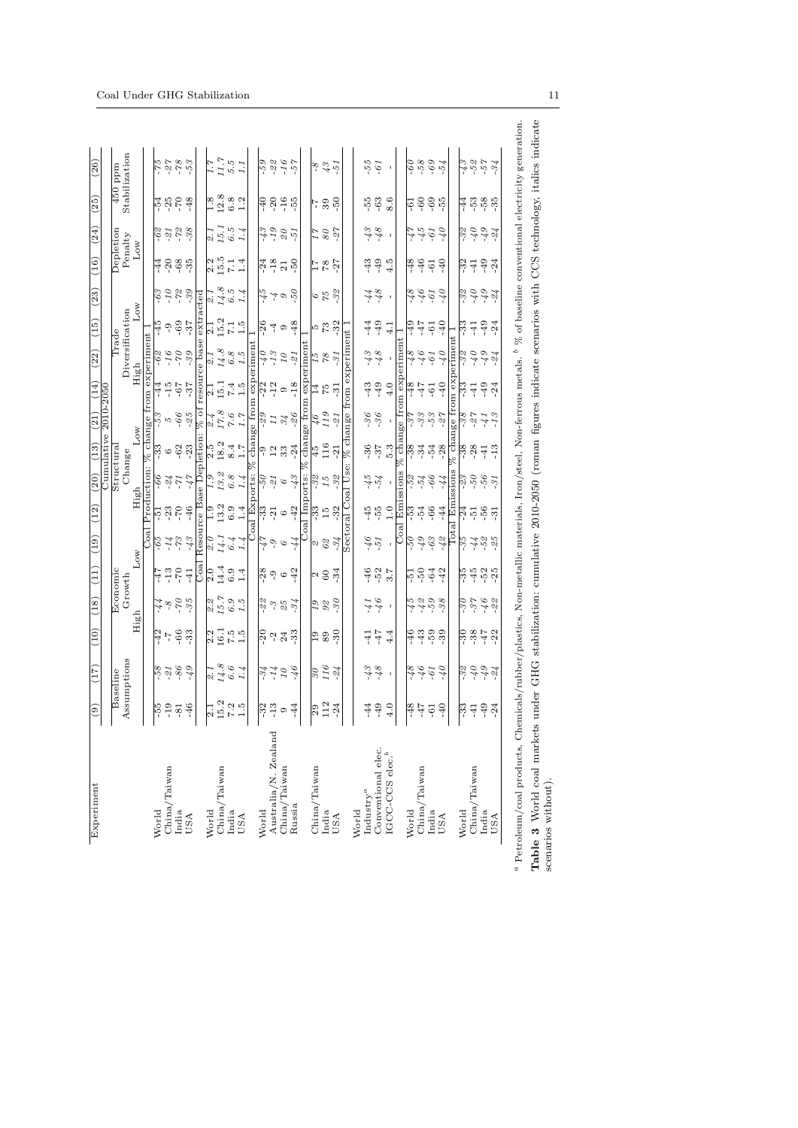|                             |                                           | Baseline                 |                             | Economic         |                              |                               |                       | Structural               |                | Cumulative $2010-2050$ |                        | Trade                      |                 |                |                      |                          |                                                                         |                     |
|-----------------------------|-------------------------------------------|--------------------------|-----------------------------|------------------|------------------------------|-------------------------------|-----------------------|--------------------------|----------------|------------------------|------------------------|----------------------------|-----------------|----------------|----------------------|--------------------------|-------------------------------------------------------------------------|---------------------|
|                             |                                           | Assumptions              |                             | Growth           |                              |                               |                       | Change                   |                |                        |                        |                            | Diversification |                | Depletion<br>Penalty |                          | Stabilization<br>$\overline{450}$ ppm                                   |                     |
|                             |                                           |                          | High                        |                  | Low                          |                               | High                  |                          | Low            |                        | High                   |                            | Low             |                | Low                  |                          |                                                                         |                     |
|                             |                                           |                          |                             |                  |                              | Coal                          |                       | Production:              |                |                        |                        | % change from experiment   |                 |                |                      |                          |                                                                         |                     |
| World                       | $55-$                                     | $-58$                    |                             |                  | -47                          | $-65$                         | 5                     | $-66$                    | ಜ              |                        | -44                    | $\mathcal{E}_9$            | $-45$           | $-63$          | $-44$                | $-62$<br>$-21$           | <b>225-24</b><br>225-                                                   | $-75$               |
| China/Taiwan                | $-19$                                     | $-21$                    | $-42$                       | $8 - 8$          | $-13$                        | $-14$                         | $-23$                 | $-24$                    | $\circ$        | 5                      | $-15$                  | $-16$                      | ာ့              | $01-$          | $-20$                |                          |                                                                         | $-27$               |
| India                       | $-81$                                     | $-86$                    | $-66$                       | $\sigma$         | $-70$                        | $-73$                         | $-70$                 | LL-                      | $-62$          | $-66$                  | $-67$                  | $OL^-$                     | $-69$           | $-72$          | $-68$                | $-72$                    |                                                                         | $-78$               |
| USA                         | $-46$                                     | $67 -$                   | $-33$                       | $-35$            | $-41$                        | $-43$                         | $-46$                 | -47                      | $-23$          | $-25$                  | $-37$                  | $-39$                      | $-37$           | $-39$          | $-35$                | $-38$                    | $-48$                                                                   | $-53$               |
|                             |                                           |                          |                             |                  | Coal                         |                               |                       | Resource Base Depletion: |                | % of                   |                        | resource base              | extracted       |                |                      |                          |                                                                         |                     |
| World                       |                                           | $\frac{1}{2}$            |                             |                  | $\frac{1}{2.0}$              | $\frac{\partial}{\partial x}$ | $\frac{6}{1}$         |                          | $\frac{5}{2}$  | 2.4                    | $\overline{21}$        | $\ddot{\mathcal{S}}$ . $1$ | $\overline{21}$ | $\frac{1}{2}$  |                      | $\frac{1}{2}$            |                                                                         | $\frac{17}{2}$      |
| Taiwan<br>China/            | $\frac{1}{15.2}$                          | 14.8                     | $\frac{2}{16}$ .1           | $\frac{2}{15.7}$ | 14.4                         | 14.1                          | 13.2                  | 13.2                     | 18.2           | $17.8$                 | 15.1                   | 14.8                       | 15.2            | $14.8$         | $\frac{2.5}{15.5}$   | 15.1                     |                                                                         | $11.7$              |
| India                       |                                           |                          |                             |                  | 6.9                          | 6.4                           | 6.9                   | $6.8\,$                  | 8.4            | $7.6\,$                | $7.4\,$                |                            | 7.1             | $6.5\,$        | 7.1                  |                          | $\frac{8}{12}$ $\frac{8}{9}$ $\frac{8}{12}$ $\frac{8}{9}$ $\frac{1}{1}$ |                     |
| USA                         | $7.3$<br>$1.5$                            | $6.6$<br>1.4             | $7.5$<br>1.5                | $6.9$ $1.5$      | 1.4                          | 1.4                           | 1.4                   | 1.4                      | 1.7            | $1.7\,$                | 1.5                    | $6.8\atop 1.5$             | 1.5             | 1.4            |                      | $6.5$<br>1.4             |                                                                         | $5.5$<br>$1.1$      |
|                             |                                           |                          |                             |                  |                              |                               | Coal Exports:         |                          | chan           |                        | ge from experimen      |                            |                 |                |                      |                          |                                                                         |                     |
| World                       |                                           | $-34$                    |                             |                  | $-28$                        | $17-$                         |                       | $-50-$                   |                | $-29$                  |                        |                            | $-26$           | -45            |                      |                          |                                                                         | $-59$               |
| Australia/N. Zealand        | $\frac{2}{3}$ $\frac{2}{1}$ $\frac{3}{9}$ | $-14$                    | $\frac{5}{1}$ $\frac{3}{4}$ | 29<br>29<br>25   | ှ ၀                          | ó-                            | အို သူ<br>၁<br>၁<br>၁ | $-21$                    | 9<br>12<br>33  | 11                     | $-22$<br>$-12$         | s 1 -<br>0 t -             | 4               | 7              | $-24$<br>$-18$<br>21 | $61 -$                   |                                                                         | $22$                |
| China/Taiwan                |                                           | $\overline{\mathcal{I}}$ |                             |                  |                              | $\mathcal{O}$                 |                       | $\mathcal{O}$            |                | $\mathcal{E}$          | $\circ$                | $\overline{\mathfrak{c}}$  | $\circ$         | $\frac{3}{6}$  |                      | $\mathcal{Q}$            |                                                                         | $-16$               |
| Russia                      | $-44$                                     | -46                      | $-33$                       | $-34$            | $-42$                        | -44                           | $-42$                 | $-43$                    | $-24$          | $-26$                  | $-18$                  | $18 -$                     | $-48$           |                | $-50$                | $19 -$                   |                                                                         | $-57$               |
|                             |                                           |                          |                             |                  |                              |                               | oal Imports:          |                          |                |                        | change from experiment |                            |                 |                |                      |                          |                                                                         |                     |
| China/Taiwan                | $\frac{29}{112}$                          | $\overline{\mathcal{S}}$ |                             |                  |                              |                               | $-33$                 | ್ರಿ                      | $\frac{45}{3}$ | 46                     |                        | 15                         |                 |                | $\frac{7}{11}$       | L                        |                                                                         |                     |
| India                       |                                           | 116                      | $\frac{5}{2}$               | $\frac{36}{6}$   | $\frac{2}{3}$                | 29<br>29                      | 15                    | 15                       | 116            | 119                    | 75                     | $\%$                       | 5<br>73<br>132  |                | $^{78}$              | $\mathcal{S}\mathcal{O}$ | ្គុំ នូុ                                                                | 545                 |
| USA                         | $-24$                                     | $-24$                    | $-30$                       | $-30$            |                              | $-34$                         | $-32$                 | $-32$                    | $-21$          | $-21$                  | $-31$                  | $-31$                      |                 |                |                      | $-27$                    |                                                                         |                     |
|                             |                                           |                          |                             |                  |                              |                               |                       | Sectoral Coal Use:       |                |                        |                        | % change from experiment   |                 |                |                      |                          |                                                                         |                     |
| World                       |                                           |                          |                             |                  |                              |                               |                       |                          |                |                        |                        |                            |                 |                |                      |                          |                                                                         |                     |
| $Industry^a$                | $-44$                                     | $-43$                    | $-41$                       | $^{11}$          | $-46$                        | $-51$                         | $-55$                 | $-45$                    | $-36$          | $-36$                  | $-43$                  |                            | -4              | -44            | $-43$                | -43                      | $-55$<br>$-63$                                                          | -55                 |
| Conventional elec.          | $-49$                                     | 8                        | -47                         | $-46$            | $-52$                        |                               |                       | $-54$                    | $-37$          | $-36$                  | $-49$                  | $-48$                      | $-49$           | $8^{+}$        | $-49$                | $-48$                    |                                                                         | $-61$               |
| IGCC-CCS elec. <sup>b</sup> | 4.0                                       |                          | 4.4                         | $\bar{1}$        | 3.7                          | $\mathbf{I}$                  | $\frac{0}{1}$         |                          | 5.3            |                        | 4.0                    |                            | 4.1             | $\,$           | 4.5                  |                          | 8.6                                                                     | $\mathbf{I}$        |
|                             |                                           |                          |                             |                  |                              | Goal                          | Emissions             |                          |                |                        |                        | % change from experiment   |                 |                |                      |                          |                                                                         |                     |
| World                       | $\frac{8}{2}$                             | $8^{+}$                  | $\frac{9}{2}$               |                  |                              | $-50-$                        |                       | $-58$                    | $\frac{8}{3}$  | နှ                     | $-48$                  | $8^{+}$                    | $-49$           | $\frac{8}{18}$ | $\frac{8}{18}$       | -47                      | $\overline{5}$                                                          | $\overline{60}$     |
| China/Taiwan                | $2^{+}$                                   | $\rightarrow$            | $-43$                       | -42<br>-42<br>-  | $-51$                        | $67 -$                        | $\frac{53}{7}$        | $-54$                    | $-34$          | $-33$                  | $-47$                  | $97-$                      | -47             | $97-$          | $-46$                | $-45$                    | $-60$                                                                   | $-58$               |
| India                       | $-61$                                     | $-61$                    | $-59$                       | $-59$            | $-64$                        | $-63$                         | $-66$                 | $-66$                    | $-54$          | $-53$                  | $-61$                  | $-61$                      | $-61$           | $-61$          | $-61$                | $-61$                    |                                                                         | $-69$               |
| USA                         | $-40$                                     | -40                      | $-39$                       | $-38-$           | $-42$                        | $\frac{3}{4}$                 | $-44$                 | -44                      | $-28$          | $-27$                  | $-40$                  | $\sigma$                   | $-40$           | -40            | $-40$                | $0$ $\gamma$ -           | $-69$                                                                   | $-54$               |
|                             |                                           |                          |                             |                  |                              | 흡                             | $_{\rm{Emi}}$         | saions                   |                |                        |                        | % change from experiment 1 |                 |                |                      |                          |                                                                         |                     |
| World                       | $\frac{33}{2}$                            | ್ರಿ                      |                             |                  |                              | $-35-$                        |                       | ್ಗಿ                      |                | -38                    | ೢೆ                     | -32                        | ್ರೆ             | $-32$          |                      |                          |                                                                         |                     |
| China/Taiwan                | $-41$                                     | -40                      | $788$<br>$-88$              | $\frac{30}{97}$  | 16<br>16 16 16 16<br>16 16 1 | -44                           | $-24$<br>$-56$        | $-50$<br>-56             | -38<br>-28     | $-27$                  | $-41$                  | 0 <sup>†</sup>             | $-41$           | $\sigma$       | $-32$<br>$-41$       | -32<br>-40               | 4 10 10 10<br>4 10 10 10<br>4 10 10 11                                  | لو ئې ئې ئې<br>پر ئ |
| India                       | $-49$                                     | $-249$                   |                             | $-46$<br>$-22$   |                              | $\mathcal{L}_{\mathcal{G}}$ - |                       |                          | $-41$          | -41                    | $-49$                  | $67-$                      | $-49$           | $67 -$         | $-49$                | $67 -$                   |                                                                         |                     |
| USA                         | $-24$                                     |                          | $-22$                       |                  |                              | $\tilde{S}$                   | $-31$                 | $-31$                    | $-13$          | $-13$                  | $-24$                  | ্য                         | $\ddot{c}$      | $-24$          | $-24$                | $-24$                    |                                                                         |                     |

Table 3 World coal markets under GHG stabilization: cumulative 2010-2050 (roman figures indicate scenarios with CCS technology, italics indicate

scenarios without).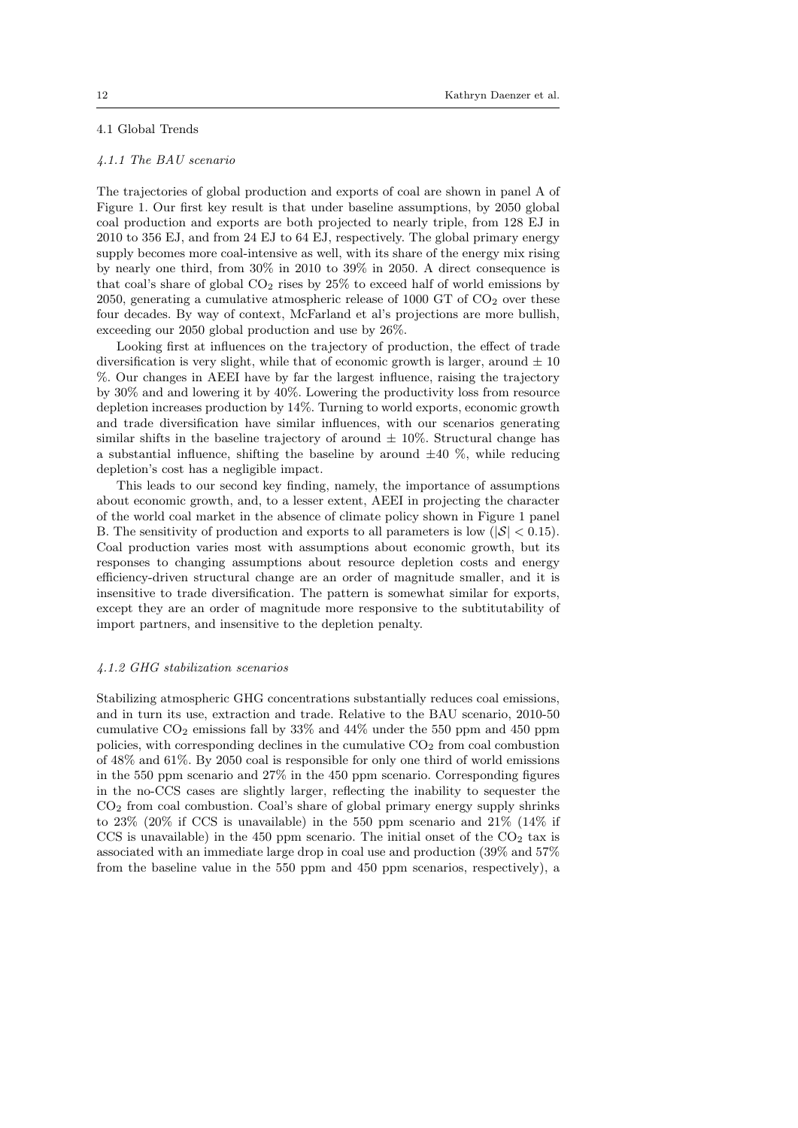# 4.1 Global Trends

#### 4.1.1 The BAU scenario

The trajectories of global production and exports of coal are shown in panel A of Figure 1. Our first key result is that under baseline assumptions, by 2050 global coal production and exports are both projected to nearly triple, from 128 EJ in 2010 to 356 EJ, and from 24 EJ to 64 EJ, respectively. The global primary energy supply becomes more coal-intensive as well, with its share of the energy mix rising by nearly one third, from 30% in 2010 to 39% in 2050. A direct consequence is that coal's share of global  $CO<sub>2</sub>$  rises by  $25\%$  to exceed half of world emissions by 2050, generating a cumulative atmospheric release of 1000 GT of  $CO<sub>2</sub>$  over these four decades. By way of context, McFarland et al's projections are more bullish, exceeding our 2050 global production and use by 26%.

Looking first at influences on the trajectory of production, the effect of trade diversification is very slight, while that of economic growth is larger, around  $\pm 10$ %. Our changes in AEEI have by far the largest influence, raising the trajectory by 30% and and lowering it by 40%. Lowering the productivity loss from resource depletion increases production by 14%. Turning to world exports, economic growth and trade diversification have similar influences, with our scenarios generating similar shifts in the baseline trajectory of around  $\pm 10\%$ . Structural change has a substantial influence, shifting the baseline by around  $\pm 40\%$ , while reducing depletion's cost has a negligible impact.

This leads to our second key finding, namely, the importance of assumptions about economic growth, and, to a lesser extent, AEEI in projecting the character of the world coal market in the absence of climate policy shown in Figure 1 panel B. The sensitivity of production and exports to all parameters is low ( $|\mathcal{S}| < 0.15$ ). Coal production varies most with assumptions about economic growth, but its responses to changing assumptions about resource depletion costs and energy efficiency-driven structural change are an order of magnitude smaller, and it is insensitive to trade diversification. The pattern is somewhat similar for exports, except they are an order of magnitude more responsive to the subtitutability of import partners, and insensitive to the depletion penalty.

#### 4.1.2 GHG stabilization scenarios

Stabilizing atmospheric GHG concentrations substantially reduces coal emissions, and in turn its use, extraction and trade. Relative to the BAU scenario, 2010-50 cumulative  $CO<sub>2</sub>$  emissions fall by 33% and 44% under the 550 ppm and 450 ppm policies, with corresponding declines in the cumulative  $CO<sub>2</sub>$  from coal combustion of 48% and 61%. By 2050 coal is responsible for only one third of world emissions in the 550 ppm scenario and 27% in the 450 ppm scenario. Corresponding figures in the no-CCS cases are slightly larger, reflecting the inability to sequester the CO<sup>2</sup> from coal combustion. Coal's share of global primary energy supply shrinks to 23% (20% if CCS is unavailable) in the 550 ppm scenario and 21% (14% if CCS is unavailable) in the 450 ppm scenario. The initial onset of the  $CO<sub>2</sub>$  tax is associated with an immediate large drop in coal use and production (39% and 57% from the baseline value in the 550 ppm and 450 ppm scenarios, respectively), a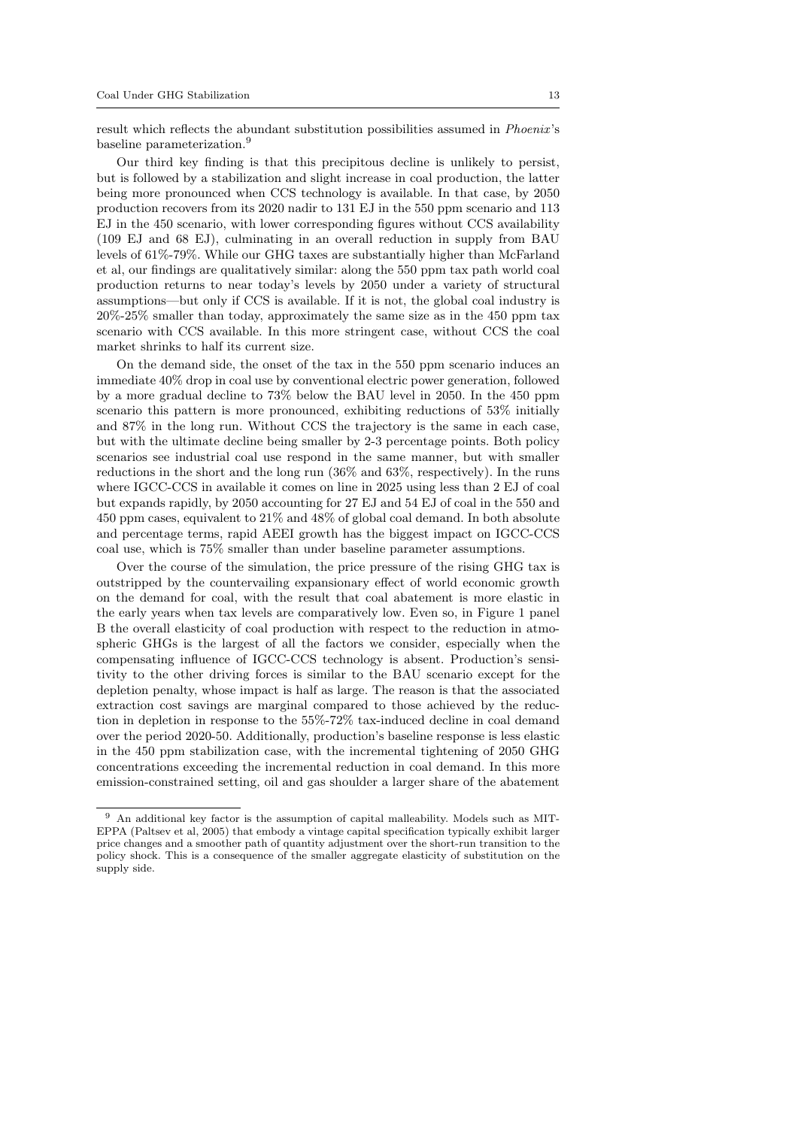result which reflects the abundant substitution possibilities assumed in *Phoenix's* baseline parameterization.<sup>9</sup>

Our third key finding is that this precipitous decline is unlikely to persist, but is followed by a stabilization and slight increase in coal production, the latter being more pronounced when CCS technology is available. In that case, by 2050 production recovers from its 2020 nadir to 131 EJ in the 550 ppm scenario and 113 EJ in the 450 scenario, with lower corresponding figures without CCS availability (109 EJ and 68 EJ), culminating in an overall reduction in supply from BAU levels of 61%-79%. While our GHG taxes are substantially higher than McFarland et al, our findings are qualitatively similar: along the 550 ppm tax path world coal production returns to near today's levels by 2050 under a variety of structural assumptions—but only if CCS is available. If it is not, the global coal industry is 20%-25% smaller than today, approximately the same size as in the 450 ppm tax scenario with CCS available. In this more stringent case, without CCS the coal market shrinks to half its current size.

On the demand side, the onset of the tax in the 550 ppm scenario induces an immediate 40% drop in coal use by conventional electric power generation, followed by a more gradual decline to 73% below the BAU level in 2050. In the 450 ppm scenario this pattern is more pronounced, exhibiting reductions of 53% initially and 87% in the long run. Without CCS the trajectory is the same in each case, but with the ultimate decline being smaller by 2-3 percentage points. Both policy scenarios see industrial coal use respond in the same manner, but with smaller reductions in the short and the long run (36% and 63%, respectively). In the runs where IGCC-CCS in available it comes on line in 2025 using less than 2 EJ of coal but expands rapidly, by 2050 accounting for 27 EJ and 54 EJ of coal in the 550 and 450 ppm cases, equivalent to 21% and 48% of global coal demand. In both absolute and percentage terms, rapid AEEI growth has the biggest impact on IGCC-CCS coal use, which is 75% smaller than under baseline parameter assumptions.

Over the course of the simulation, the price pressure of the rising GHG tax is outstripped by the countervailing expansionary effect of world economic growth on the demand for coal, with the result that coal abatement is more elastic in the early years when tax levels are comparatively low. Even so, in Figure 1 panel B the overall elasticity of coal production with respect to the reduction in atmospheric GHGs is the largest of all the factors we consider, especially when the compensating influence of IGCC-CCS technology is absent. Production's sensitivity to the other driving forces is similar to the BAU scenario except for the depletion penalty, whose impact is half as large. The reason is that the associated extraction cost savings are marginal compared to those achieved by the reduction in depletion in response to the 55%-72% tax-induced decline in coal demand over the period 2020-50. Additionally, production's baseline response is less elastic in the 450 ppm stabilization case, with the incremental tightening of 2050 GHG concentrations exceeding the incremental reduction in coal demand. In this more emission-constrained setting, oil and gas shoulder a larger share of the abatement

<sup>9</sup> An additional key factor is the assumption of capital malleability. Models such as MIT-EPPA (Paltsev et al, 2005) that embody a vintage capital specification typically exhibit larger price changes and a smoother path of quantity adjustment over the short-run transition to the policy shock. This is a consequence of the smaller aggregate elasticity of substitution on the supply side.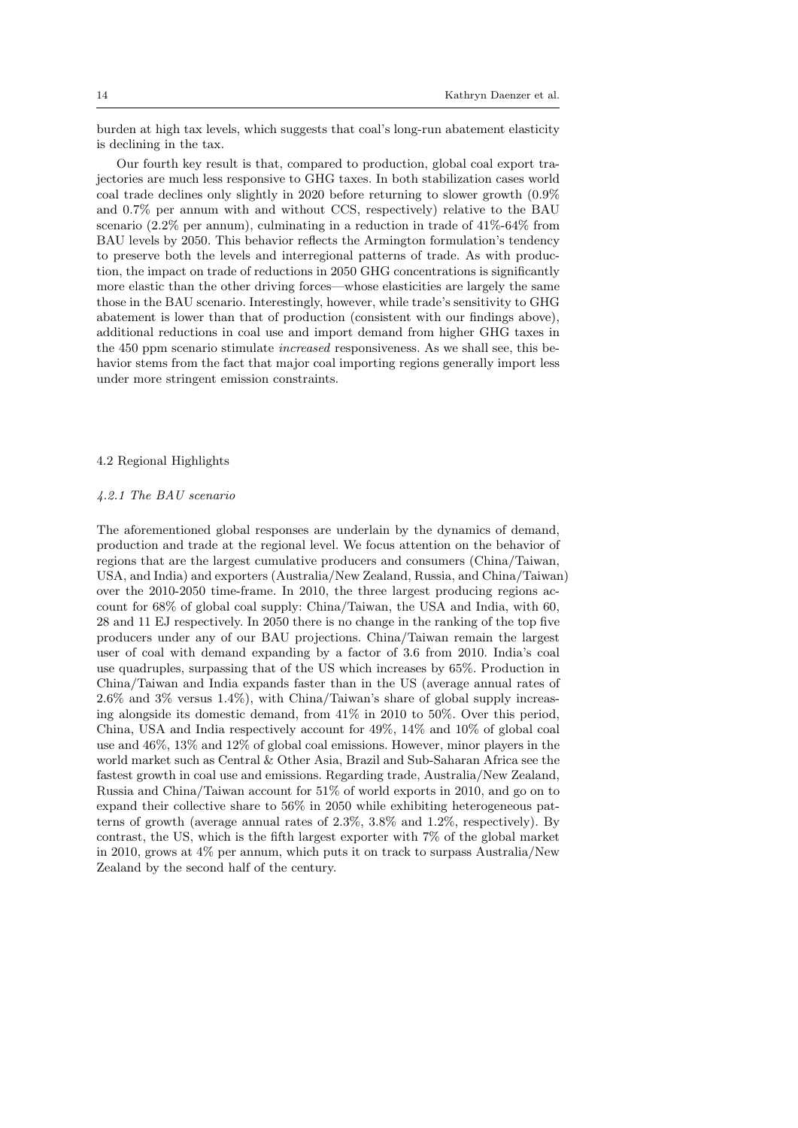burden at high tax levels, which suggests that coal's long-run abatement elasticity is declining in the tax.

Our fourth key result is that, compared to production, global coal export trajectories are much less responsive to GHG taxes. In both stabilization cases world coal trade declines only slightly in 2020 before returning to slower growth (0.9% and 0.7% per annum with and without CCS, respectively) relative to the BAU scenario (2.2% per annum), culminating in a reduction in trade of 41%-64% from BAU levels by 2050. This behavior reflects the Armington formulation's tendency to preserve both the levels and interregional patterns of trade. As with production, the impact on trade of reductions in 2050 GHG concentrations is significantly more elastic than the other driving forces—whose elasticities are largely the same those in the BAU scenario. Interestingly, however, while trade's sensitivity to GHG abatement is lower than that of production (consistent with our findings above), additional reductions in coal use and import demand from higher GHG taxes in the 450 ppm scenario stimulate increased responsiveness. As we shall see, this behavior stems from the fact that major coal importing regions generally import less under more stringent emission constraints.

# 4.2 Regional Highlights

## 4.2.1 The BAU scenario

The aforementioned global responses are underlain by the dynamics of demand, production and trade at the regional level. We focus attention on the behavior of regions that are the largest cumulative producers and consumers (China/Taiwan, USA, and India) and exporters (Australia/New Zealand, Russia, and China/Taiwan) over the 2010-2050 time-frame. In 2010, the three largest producing regions account for 68% of global coal supply: China/Taiwan, the USA and India, with 60, 28 and 11 EJ respectively. In 2050 there is no change in the ranking of the top five producers under any of our BAU projections. China/Taiwan remain the largest user of coal with demand expanding by a factor of 3.6 from 2010. India's coal use quadruples, surpassing that of the US which increases by 65%. Production in China/Taiwan and India expands faster than in the US (average annual rates of 2.6% and 3% versus 1.4%), with China/Taiwan's share of global supply increasing alongside its domestic demand, from 41% in 2010 to 50%. Over this period, China, USA and India respectively account for 49%, 14% and 10% of global coal use and 46%, 13% and 12% of global coal emissions. However, minor players in the world market such as Central & Other Asia, Brazil and Sub-Saharan Africa see the fastest growth in coal use and emissions. Regarding trade, Australia/New Zealand, Russia and China/Taiwan account for 51% of world exports in 2010, and go on to expand their collective share to 56% in 2050 while exhibiting heterogeneous patterns of growth (average annual rates of 2.3%, 3.8% and 1.2%, respectively). By contrast, the US, which is the fifth largest exporter with 7% of the global market in 2010, grows at 4% per annum, which puts it on track to surpass Australia/New Zealand by the second half of the century.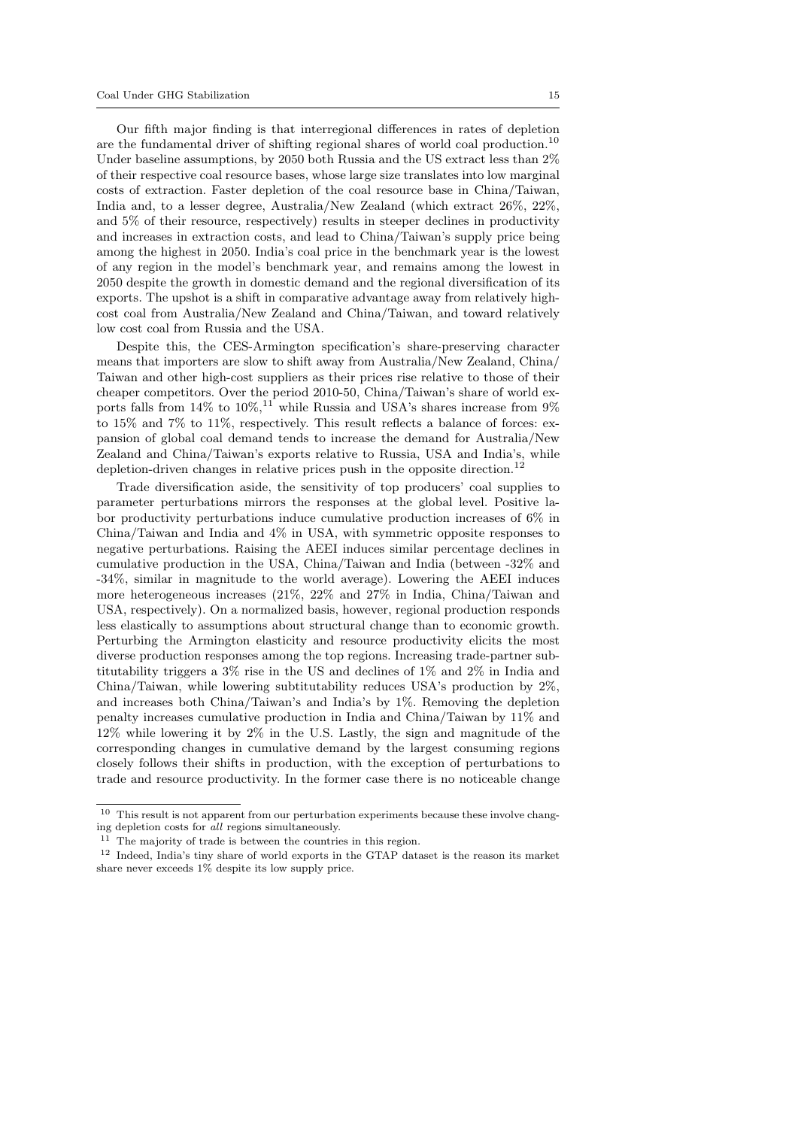Our fifth major finding is that interregional differences in rates of depletion are the fundamental driver of shifting regional shares of world coal production.<sup>10</sup> Under baseline assumptions, by 2050 both Russia and the US extract less than 2% of their respective coal resource bases, whose large size translates into low marginal costs of extraction. Faster depletion of the coal resource base in China/Taiwan, India and, to a lesser degree, Australia/New Zealand (which extract 26%, 22%, and 5% of their resource, respectively) results in steeper declines in productivity and increases in extraction costs, and lead to China/Taiwan's supply price being among the highest in 2050. India's coal price in the benchmark year is the lowest of any region in the model's benchmark year, and remains among the lowest in 2050 despite the growth in domestic demand and the regional diversification of its exports. The upshot is a shift in comparative advantage away from relatively highcost coal from Australia/New Zealand and China/Taiwan, and toward relatively low cost coal from Russia and the USA.

Despite this, the CES-Armington specification's share-preserving character means that importers are slow to shift away from Australia/New Zealand, China/ Taiwan and other high-cost suppliers as their prices rise relative to those of their cheaper competitors. Over the period 2010-50, China/Taiwan's share of world exports falls from 14% to  $10\%,^{11}$  while Russia and USA's shares increase from 9% to 15% and 7% to 11%, respectively. This result reflects a balance of forces: expansion of global coal demand tends to increase the demand for Australia/New Zealand and China/Taiwan's exports relative to Russia, USA and India's, while depletion-driven changes in relative prices push in the opposite direction.<sup>12</sup>

Trade diversification aside, the sensitivity of top producers' coal supplies to parameter perturbations mirrors the responses at the global level. Positive labor productivity perturbations induce cumulative production increases of 6% in China/Taiwan and India and 4% in USA, with symmetric opposite responses to negative perturbations. Raising the AEEI induces similar percentage declines in cumulative production in the USA, China/Taiwan and India (between -32% and -34%, similar in magnitude to the world average). Lowering the AEEI induces more heterogeneous increases (21%, 22% and 27% in India, China/Taiwan and USA, respectively). On a normalized basis, however, regional production responds less elastically to assumptions about structural change than to economic growth. Perturbing the Armington elasticity and resource productivity elicits the most diverse production responses among the top regions. Increasing trade-partner subtitutability triggers a 3% rise in the US and declines of 1% and 2% in India and China/Taiwan, while lowering subtitutability reduces USA's production by 2%, and increases both China/Taiwan's and India's by 1%. Removing the depletion penalty increases cumulative production in India and China/Taiwan by 11% and 12% while lowering it by 2% in the U.S. Lastly, the sign and magnitude of the corresponding changes in cumulative demand by the largest consuming regions closely follows their shifts in production, with the exception of perturbations to trade and resource productivity. In the former case there is no noticeable change

<sup>11</sup> The majority of trade is between the countries in this region.

 $^{10}\,$  This result is not apparent from our perturbation experiments because these involve changing depletion costs for all regions simultaneously.

<sup>12</sup> Indeed, India's tiny share of world exports in the GTAP dataset is the reason its market share never exceeds 1% despite its low supply price.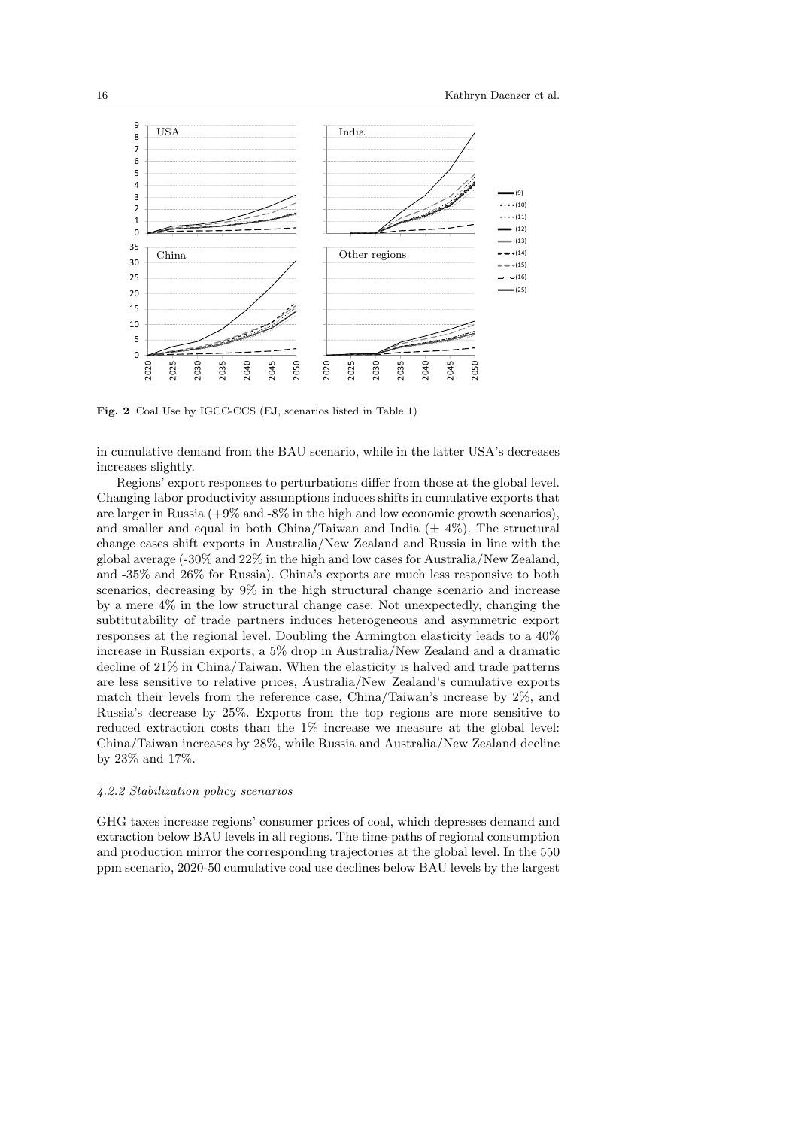

Fig. 2 Coal Use by IGCC-CCS (EJ, scenarios listed in Table 1)

in cumulative demand from the BAU scenario, while in the latter USA's decreases increases slightly.

Regions' export responses to perturbations differ from those at the global level. Changing labor productivity assumptions induces shifts in cumulative exports that are larger in Russia  $(+9\%$  and  $-8\%$  in the high and low economic growth scenarios), and smaller and equal in both China/Taiwan and India  $(\pm 4\%)$ . The structural change cases shift exports in Australia/New Zealand and Russia in line with the global average (-30% and 22% in the high and low cases for Australia/New Zealand, and -35% and 26% for Russia). China's exports are much less responsive to both scenarios, decreasing by 9% in the high structural change scenario and increase by a mere 4% in the low structural change case. Not unexpectedly, changing the subtitutability of trade partners induces heterogeneous and asymmetric export responses at the regional level. Doubling the Armington elasticity leads to a 40% increase in Russian exports, a 5% drop in Australia/New Zealand and a dramatic decline of 21% in China/Taiwan. When the elasticity is halved and trade patterns are less sensitive to relative prices, Australia/New Zealand's cumulative exports match their levels from the reference case, China/Taiwan's increase by 2%, and Russia's decrease by 25%. Exports from the top regions are more sensitive to reduced extraction costs than the 1% increase we measure at the global level: China/Taiwan increases by 28%, while Russia and Australia/New Zealand decline by 23% and 17%.

## 4.2.2 Stabilization policy scenarios

GHG taxes increase regions' consumer prices of coal, which depresses demand and extraction below BAU levels in all regions. The time-paths of regional consumption and production mirror the corresponding trajectories at the global level. In the 550 ppm scenario, 2020-50 cumulative coal use declines below BAU levels by the largest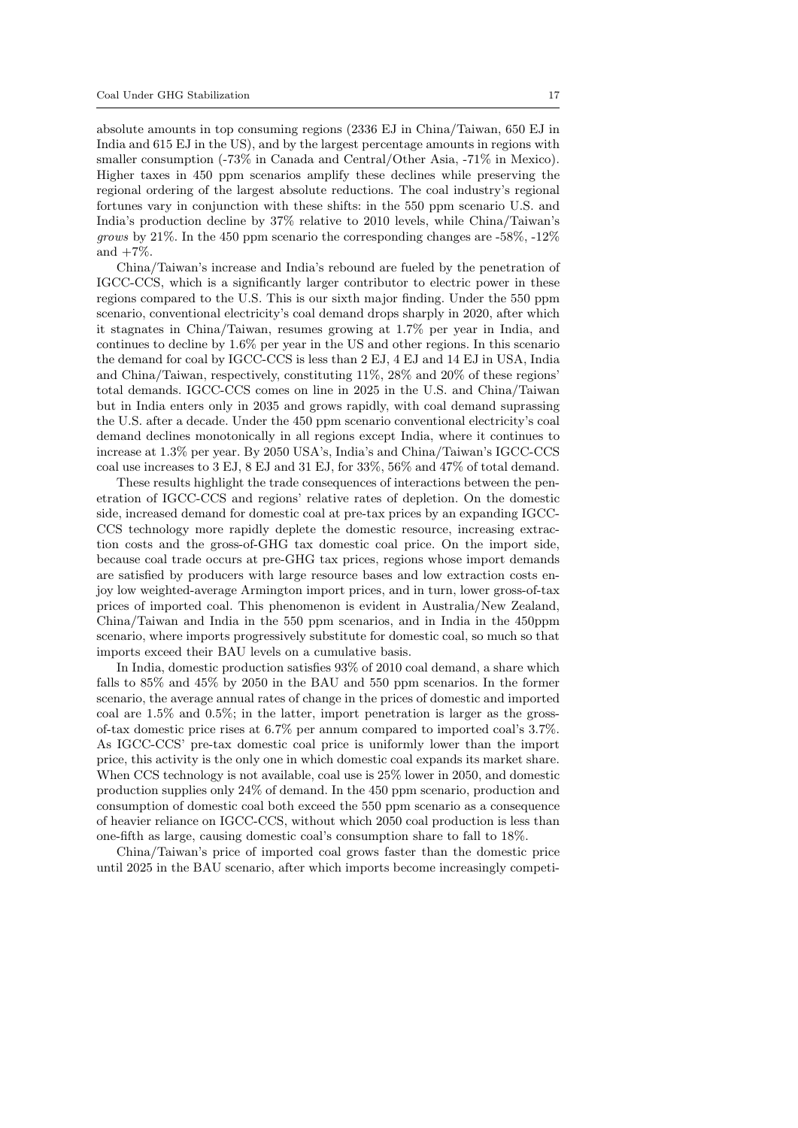absolute amounts in top consuming regions (2336 EJ in China/Taiwan, 650 EJ in India and 615 EJ in the US), and by the largest percentage amounts in regions with smaller consumption (-73% in Canada and Central/Other Asia, -71% in Mexico). Higher taxes in 450 ppm scenarios amplify these declines while preserving the regional ordering of the largest absolute reductions. The coal industry's regional fortunes vary in conjunction with these shifts: in the 550 ppm scenario U.S. and India's production decline by 37% relative to 2010 levels, while China/Taiwan's *grows* by 21%. In the 450 ppm scenario the corresponding changes are  $-58\%$ ,  $-12\%$ and  $+7\%$ .

China/Taiwan's increase and India's rebound are fueled by the penetration of IGCC-CCS, which is a significantly larger contributor to electric power in these regions compared to the U.S. This is our sixth major finding. Under the 550 ppm scenario, conventional electricity's coal demand drops sharply in 2020, after which it stagnates in China/Taiwan, resumes growing at 1.7% per year in India, and continues to decline by 1.6% per year in the US and other regions. In this scenario the demand for coal by IGCC-CCS is less than 2 EJ, 4 EJ and 14 EJ in USA, India and China/Taiwan, respectively, constituting 11%, 28% and 20% of these regions' total demands. IGCC-CCS comes on line in 2025 in the U.S. and China/Taiwan but in India enters only in 2035 and grows rapidly, with coal demand suprassing the U.S. after a decade. Under the 450 ppm scenario conventional electricity's coal demand declines monotonically in all regions except India, where it continues to increase at 1.3% per year. By 2050 USA's, India's and China/Taiwan's IGCC-CCS coal use increases to 3 EJ, 8 EJ and 31 EJ, for 33%, 56% and 47% of total demand.

These results highlight the trade consequences of interactions between the penetration of IGCC-CCS and regions' relative rates of depletion. On the domestic side, increased demand for domestic coal at pre-tax prices by an expanding IGCC-CCS technology more rapidly deplete the domestic resource, increasing extraction costs and the gross-of-GHG tax domestic coal price. On the import side, because coal trade occurs at pre-GHG tax prices, regions whose import demands are satisfied by producers with large resource bases and low extraction costs enjoy low weighted-average Armington import prices, and in turn, lower gross-of-tax prices of imported coal. This phenomenon is evident in Australia/New Zealand, China/Taiwan and India in the 550 ppm scenarios, and in India in the 450ppm scenario, where imports progressively substitute for domestic coal, so much so that imports exceed their BAU levels on a cumulative basis.

In India, domestic production satisfies 93% of 2010 coal demand, a share which falls to 85% and 45% by 2050 in the BAU and 550 ppm scenarios. In the former scenario, the average annual rates of change in the prices of domestic and imported coal are  $1.5\%$  and  $0.5\%$ ; in the latter, import penetration is larger as the grossof-tax domestic price rises at 6.7% per annum compared to imported coal's 3.7%. As IGCC-CCS' pre-tax domestic coal price is uniformly lower than the import price, this activity is the only one in which domestic coal expands its market share. When CCS technology is not available, coal use is 25% lower in 2050, and domestic production supplies only 24% of demand. In the 450 ppm scenario, production and consumption of domestic coal both exceed the 550 ppm scenario as a consequence of heavier reliance on IGCC-CCS, without which 2050 coal production is less than one-fifth as large, causing domestic coal's consumption share to fall to 18%.

China/Taiwan's price of imported coal grows faster than the domestic price until 2025 in the BAU scenario, after which imports become increasingly competi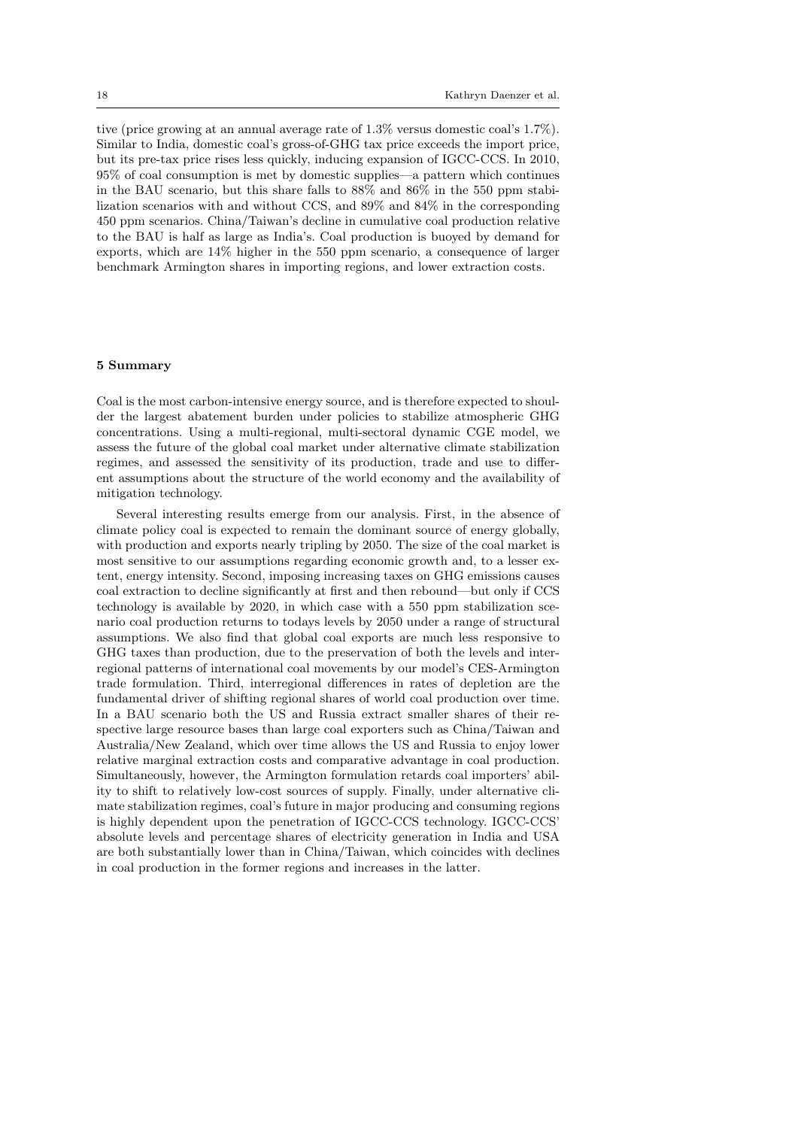tive (price growing at an annual average rate of 1.3% versus domestic coal's 1.7%). Similar to India, domestic coal's gross-of-GHG tax price exceeds the import price, but its pre-tax price rises less quickly, inducing expansion of IGCC-CCS. In 2010, 95% of coal consumption is met by domestic supplies—a pattern which continues in the BAU scenario, but this share falls to 88% and 86% in the 550 ppm stabilization scenarios with and without CCS, and 89% and 84% in the corresponding 450 ppm scenarios. China/Taiwan's decline in cumulative coal production relative to the BAU is half as large as India's. Coal production is buoyed by demand for exports, which are 14% higher in the 550 ppm scenario, a consequence of larger benchmark Armington shares in importing regions, and lower extraction costs.

# 5 Summary

Coal is the most carbon-intensive energy source, and is therefore expected to shoulder the largest abatement burden under policies to stabilize atmospheric GHG concentrations. Using a multi-regional, multi-sectoral dynamic CGE model, we assess the future of the global coal market under alternative climate stabilization regimes, and assessed the sensitivity of its production, trade and use to different assumptions about the structure of the world economy and the availability of mitigation technology.

Several interesting results emerge from our analysis. First, in the absence of climate policy coal is expected to remain the dominant source of energy globally, with production and exports nearly tripling by 2050. The size of the coal market is most sensitive to our assumptions regarding economic growth and, to a lesser extent, energy intensity. Second, imposing increasing taxes on GHG emissions causes coal extraction to decline significantly at first and then rebound—but only if CCS technology is available by 2020, in which case with a 550 ppm stabilization scenario coal production returns to todays levels by 2050 under a range of structural assumptions. We also find that global coal exports are much less responsive to GHG taxes than production, due to the preservation of both the levels and interregional patterns of international coal movements by our model's CES-Armington trade formulation. Third, interregional differences in rates of depletion are the fundamental driver of shifting regional shares of world coal production over time. In a BAU scenario both the US and Russia extract smaller shares of their respective large resource bases than large coal exporters such as China/Taiwan and Australia/New Zealand, which over time allows the US and Russia to enjoy lower relative marginal extraction costs and comparative advantage in coal production. Simultaneously, however, the Armington formulation retards coal importers' ability to shift to relatively low-cost sources of supply. Finally, under alternative climate stabilization regimes, coal's future in major producing and consuming regions is highly dependent upon the penetration of IGCC-CCS technology. IGCC-CCS' absolute levels and percentage shares of electricity generation in India and USA are both substantially lower than in China/Taiwan, which coincides with declines in coal production in the former regions and increases in the latter.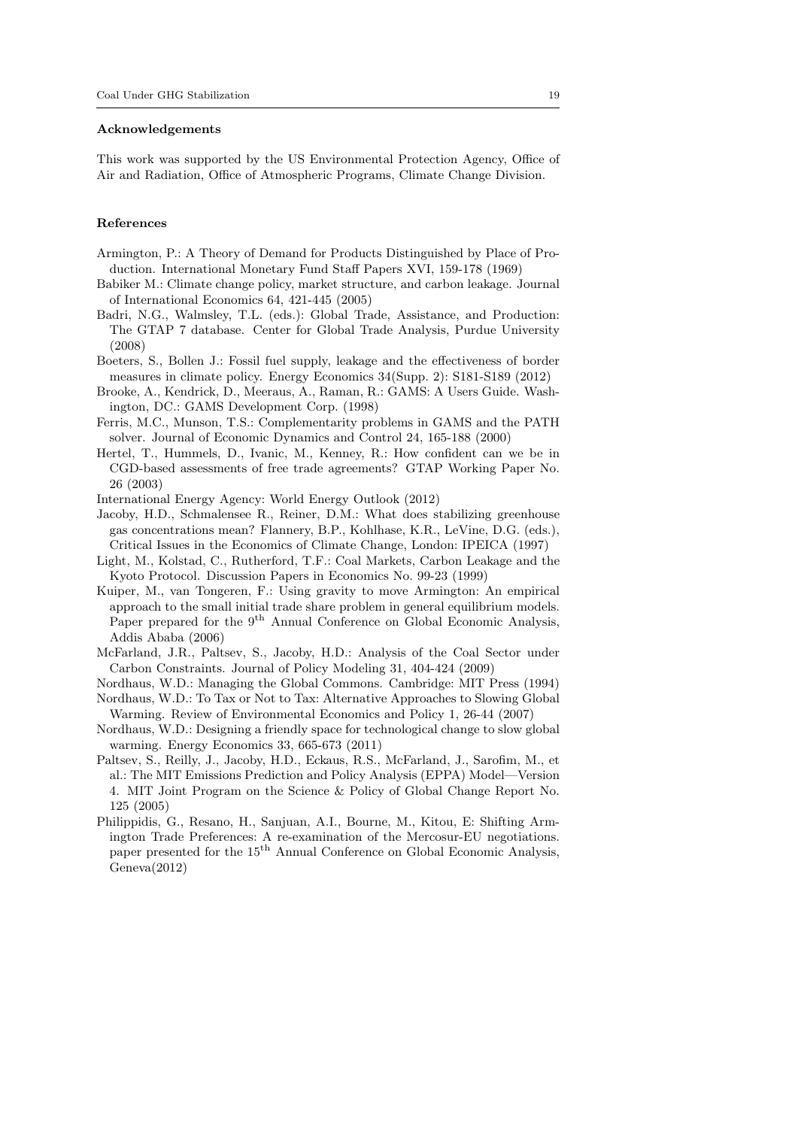#### Acknowledgements

This work was supported by the US Environmental Protection Agency, Office of Air and Radiation, Office of Atmospheric Programs, Climate Change Division.

## References

- Armington, P.: A Theory of Demand for Products Distinguished by Place of Production. International Monetary Fund Staff Papers XVI, 159-178 (1969)
- Babiker M.: Climate change policy, market structure, and carbon leakage. Journal of International Economics 64, 421-445 (2005)
- Badri, N.G., Walmsley, T.L. (eds.): Global Trade, Assistance, and Production: The GTAP 7 database. Center for Global Trade Analysis, Purdue University (2008)
- Boeters, S., Bollen J.: Fossil fuel supply, leakage and the effectiveness of border measures in climate policy. Energy Economics 34(Supp. 2): S181-S189 (2012)
- Brooke, A., Kendrick, D., Meeraus, A., Raman, R.: GAMS: A Users Guide. Washington, DC.: GAMS Development Corp. (1998)
- Ferris, M.C., Munson, T.S.: Complementarity problems in GAMS and the PATH solver. Journal of Economic Dynamics and Control 24, 165-188 (2000)
- Hertel, T., Hummels, D., Ivanic, M., Kenney, R.: How confident can we be in CGD-based assessments of free trade agreements? GTAP Working Paper No. 26 (2003)
- International Energy Agency: World Energy Outlook (2012)
- Jacoby, H.D., Schmalensee R., Reiner, D.M.: What does stabilizing greenhouse gas concentrations mean? Flannery, B.P., Kohlhase, K.R., LeVine, D.G. (eds.), Critical Issues in the Economics of Climate Change, London: IPEICA (1997)
- Light, M., Kolstad, C., Rutherford, T.F.: Coal Markets, Carbon Leakage and the Kyoto Protocol. Discussion Papers in Economics No. 99-23 (1999)
- Kuiper, M., van Tongeren, F.: Using gravity to move Armington: An empirical approach to the small initial trade share problem in general equilibrium models. Paper prepared for the 9<sup>th</sup> Annual Conference on Global Economic Analysis, Addis Ababa (2006)
- McFarland, J.R., Paltsev, S., Jacoby, H.D.: Analysis of the Coal Sector under Carbon Constraints. Journal of Policy Modeling 31, 404-424 (2009)
- Nordhaus, W.D.: Managing the Global Commons. Cambridge: MIT Press (1994)
- Nordhaus, W.D.: To Tax or Not to Tax: Alternative Approaches to Slowing Global Warming. Review of Environmental Economics and Policy 1, 26-44 (2007)
- Nordhaus, W.D.: Designing a friendly space for technological change to slow global warming. Energy Economics 33, 665-673 (2011)
- Paltsev, S., Reilly, J., Jacoby, H.D., Eckaus, R.S., McFarland, J., Sarofim, M., et al.: The MIT Emissions Prediction and Policy Analysis (EPPA) Model—Version 4. MIT Joint Program on the Science & Policy of Global Change Report No. 125 (2005)
- Philippidis, G., Resano, H., Sanjuan, A.I., Bourne, M., Kitou, E: Shifting Armington Trade Preferences: A re-examination of the Mercosur-EU negotiations. paper presented for the 15<sup>th</sup> Annual Conference on Global Economic Analysis, Geneva(2012)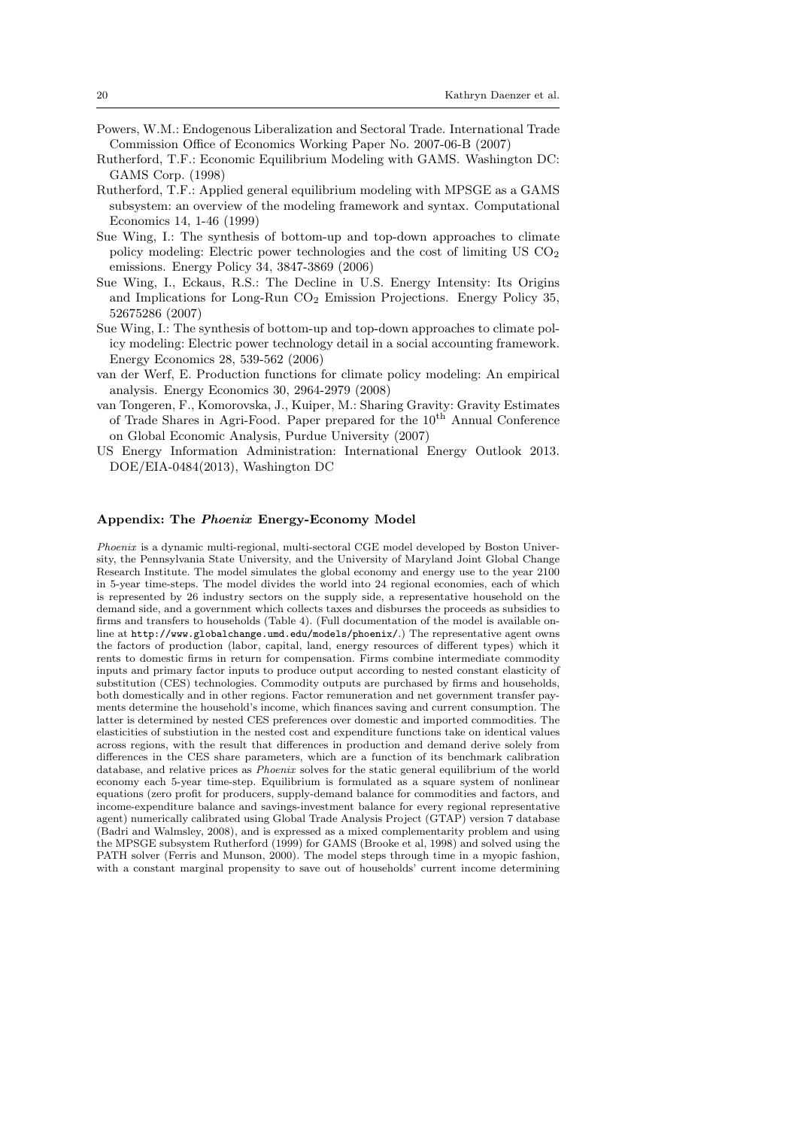- Powers, W.M.: Endogenous Liberalization and Sectoral Trade. International Trade Commission Office of Economics Working Paper No. 2007-06-B (2007)
- Rutherford, T.F.: Economic Equilibrium Modeling with GAMS. Washington DC: GAMS Corp. (1998)
- Rutherford, T.F.: Applied general equilibrium modeling with MPSGE as a GAMS subsystem: an overview of the modeling framework and syntax. Computational Economics 14, 1-46 (1999)
- Sue Wing, I.: The synthesis of bottom-up and top-down approaches to climate policy modeling: Electric power technologies and the cost of limiting  $USCO<sub>2</sub>$ emissions. Energy Policy 34, 3847-3869 (2006)
- Sue Wing, I., Eckaus, R.S.: The Decline in U.S. Energy Intensity: Its Origins and Implications for Long-Run CO<sup>2</sup> Emission Projections. Energy Policy 35, 52675286 (2007)
- Sue Wing, I.: The synthesis of bottom-up and top-down approaches to climate policy modeling: Electric power technology detail in a social accounting framework. Energy Economics 28, 539-562 (2006)
- van der Werf, E. Production functions for climate policy modeling: An empirical analysis. Energy Economics 30, 2964-2979 (2008)
- van Tongeren, F., Komorovska, J., Kuiper, M.: Sharing Gravity: Gravity Estimates of Trade Shares in Agri-Food. Paper prepared for the  $10<sup>th</sup>$  Annual Conference on Global Economic Analysis, Purdue University (2007)
- US Energy Information Administration: International Energy Outlook 2013. DOE/EIA-0484(2013), Washington DC

## Appendix: The Phoenix Energy-Economy Model

Phoenix is a dynamic multi-regional, multi-sectoral CGE model developed by Boston University, the Pennsylvania State University, and the University of Maryland Joint Global Change Research Institute. The model simulates the global economy and energy use to the year 2100 in 5-year time-steps. The model divides the world into 24 regional economies, each of which is represented by 26 industry sectors on the supply side, a representative household on the demand side, and a government which collects taxes and disburses the proceeds as subsidies to firms and transfers to households (Table 4). (Full documentation of the model is available online at http://www.globalchange.umd.edu/models/phoenix/.) The representative agent owns the factors of production (labor, capital, land, energy resources of different types) which it rents to domestic firms in return for compensation. Firms combine intermediate commodity inputs and primary factor inputs to produce output according to nested constant elasticity of substitution (CES) technologies. Commodity outputs are purchased by firms and households, both domestically and in other regions. Factor remuneration and net government transfer payments determine the household's income, which finances saving and current consumption. The latter is determined by nested CES preferences over domestic and imported commodities. The elasticities of substiution in the nested cost and expenditure functions take on identical values across regions, with the result that differences in production and demand derive solely from differences in the CES share parameters, which are a function of its benchmark calibration database, and relative prices as Phoenix solves for the static general equilibrium of the world economy each 5-year time-step. Equilibrium is formulated as a square system of nonlinear equations (zero profit for producers, supply-demand balance for commodities and factors, and income-expenditure balance and savings-investment balance for every regional representative agent) numerically calibrated using Global Trade Analysis Project (GTAP) version 7 database (Badri and Walmsley, 2008), and is expressed as a mixed complementarity problem and using the MPSGE subsystem Rutherford (1999) for GAMS (Brooke et al, 1998) and solved using the PATH solver (Ferris and Munson, 2000). The model steps through time in a myopic fashion, with a constant marginal propensity to save out of households' current income determining